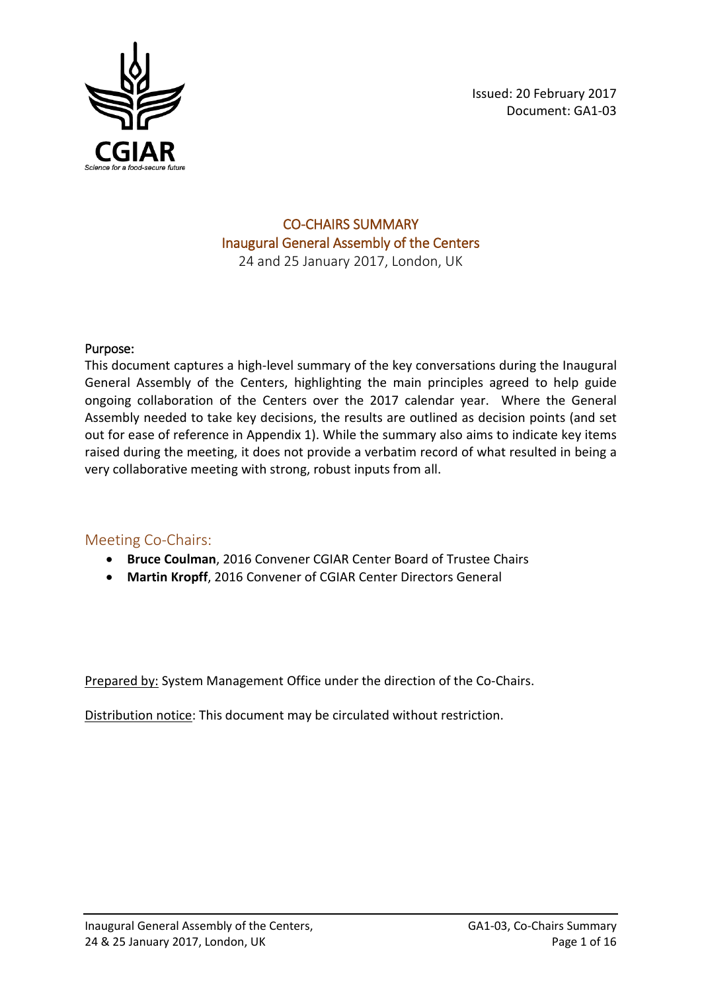

### CO-CHAIRS SUMMARY Inaugural General Assembly of the Centers 24 and 25 January 2017, London, UK

### Purpose:

This document captures a high-level summary of the key conversations during the Inaugural General Assembly of the Centers, highlighting the main principles agreed to help guide ongoing collaboration of the Centers over the 2017 calendar year. Where the General Assembly needed to take key decisions, the results are outlined as decision points (and set out for ease of reference in Appendix 1). While the summary also aims to indicate key items raised during the meeting, it does not provide a verbatim record of what resulted in being a very collaborative meeting with strong, robust inputs from all.

### Meeting Co-Chairs:

- **Bruce Coulman**, 2016 Convener CGIAR Center Board of Trustee Chairs
- **Martin Kropff**, 2016 Convener of CGIAR Center Directors General

Prepared by: System Management Office under the direction of the Co-Chairs.

Distribution notice: This document may be circulated without restriction.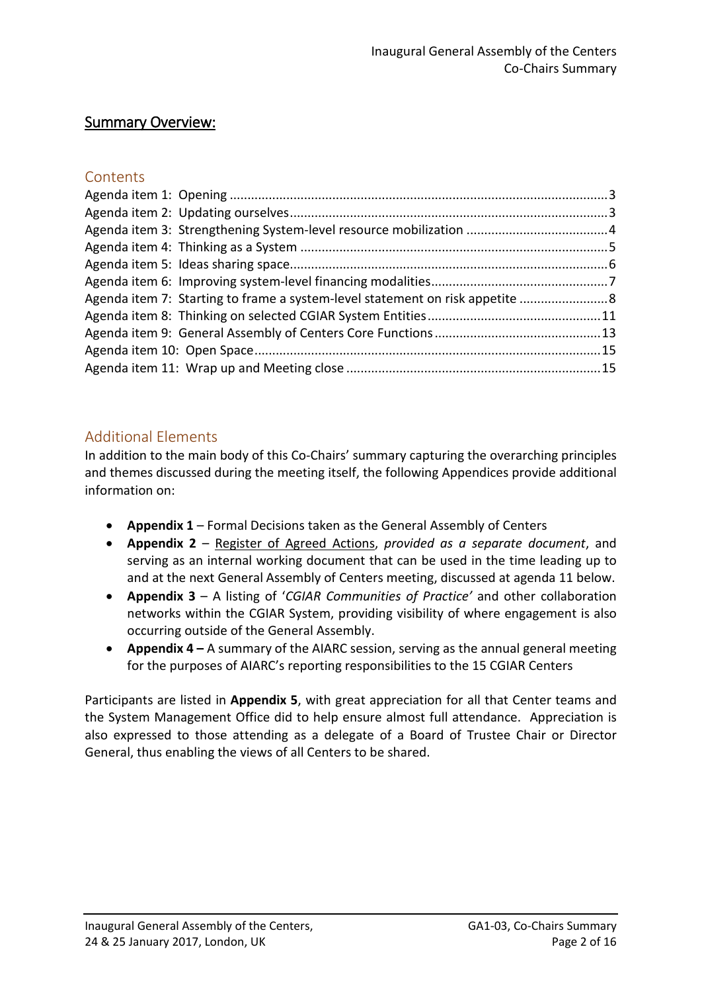## Summary Overview:

## **Contents**

| Agenda item 7: Starting to frame a system-level statement on risk appetite 8 |  |
|------------------------------------------------------------------------------|--|
|                                                                              |  |
|                                                                              |  |
|                                                                              |  |
|                                                                              |  |

## Additional Elements

In addition to the main body of this Co-Chairs' summary capturing the overarching principles and themes discussed during the meeting itself, the following Appendices provide additional information on:

- **Appendix 1** Formal Decisions taken as the General Assembly of Centers
- **Appendix 2** Register of Agreed Actions, *provided as a separate document*, and serving as an internal working document that can be used in the time leading up to and at the next General Assembly of Centers meeting, discussed at agenda 11 below.
- **Appendix 3**  A listing of '*CGIAR Communities of Practice'* and other collaboration networks within the CGIAR System, providing visibility of where engagement is also occurring outside of the General Assembly.
- **Appendix 4** A summary of the AIARC session, serving as the annual general meeting for the purposes of AIARC's reporting responsibilities to the 15 CGIAR Centers

Participants are listed in **Appendix 5**, with great appreciation for all that Center teams and the System Management Office did to help ensure almost full attendance. Appreciation is also expressed to those attending as a delegate of a Board of Trustee Chair or Director General, thus enabling the views of all Centers to be shared.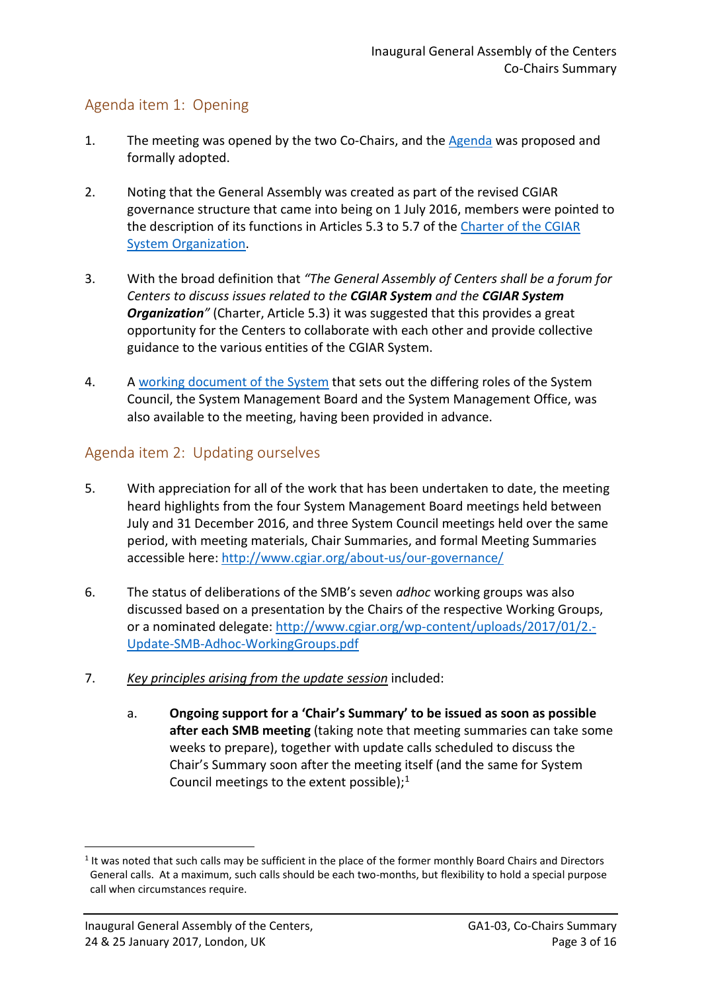## <span id="page-2-0"></span>Agenda item 1: Opening

- 1. The meeting was opened by the two Co-Chairs, and the [Agenda](http://www.cgiar.org/wp-content/uploads/2017/01/Agenda-GenAssembly_24-25Jan2017_Final_v-20-Jan-2017.pdf) was proposed and formally adopted.
- 2. Noting that the General Assembly was created as part of the revised CGIAR governance structure that came into being on 1 July 2016, members were pointed to the description of its functions in Articles 5.3 to 5.7 of the [Charter of the CGIAR](https://library.cgiar.org/bitstream/handle/10947/4370/Charter%20CGIAR%20Organization.pdf?sequence=4)  [System Organization.](https://library.cgiar.org/bitstream/handle/10947/4370/Charter%20CGIAR%20Organization.pdf?sequence=4)
- 3. With the broad definition that *"The General Assembly of Centers shall be a forum for Centers to discuss issues related to the CGIAR System and the CGIAR System*  **Organization**" (Charter, Article 5.3) it was suggested that this provides a great opportunity for the Centers to collaborate with each other and provide collective guidance to the various entities of the CGIAR System.
- 4. A [working document of the System](http://www.cgiar.org/wp-content/uploads/2017/01/HighLevelSummary-Functions-CGIARSystem_17Oct2016.pdf) that sets out the differing roles of the System Council, the System Management Board and the System Management Office, was also available to the meeting, having been provided in advance.

## <span id="page-2-1"></span>Agenda item 2: Updating ourselves

- 5. With appreciation for all of the work that has been undertaken to date, the meeting heard highlights from the four System Management Board meetings held between July and 31 December 2016, and three System Council meetings held over the same period, with meeting materials, Chair Summaries, and formal Meeting Summaries accessible here: <http://www.cgiar.org/about-us/our-governance/>
- 6. The status of deliberations of the SMB's seven *adhoc* working groups was also discussed based on a presentation by the Chairs of the respective Working Groups, or a nominated delegate: [http://www.cgiar.org/wp-content/uploads/2017/01/2.-](http://www.cgiar.org/wp-content/uploads/2017/01/2.-Update-SMB-Adhoc-WorkingGroups.pdf) [Update-SMB-Adhoc-WorkingGroups.pdf](http://www.cgiar.org/wp-content/uploads/2017/01/2.-Update-SMB-Adhoc-WorkingGroups.pdf)
- 7. *Key principles arising from the update session* included:
	- a. **Ongoing support for a 'Chair's Summary' to be issued as soon as possible after each SMB meeting** (taking note that meeting summaries can take some weeks to prepare), together with update calls scheduled to discuss the Chair's Summary soon after the meeting itself (and the same for System Council meetings to the extent possible); $1$

<u>.</u>

<span id="page-2-2"></span><sup>&</sup>lt;sup>1</sup> It was noted that such calls may be sufficient in the place of the former monthly Board Chairs and Directors General calls. At a maximum, such calls should be each two-months, but flexibility to hold a special purpose call when circumstances require.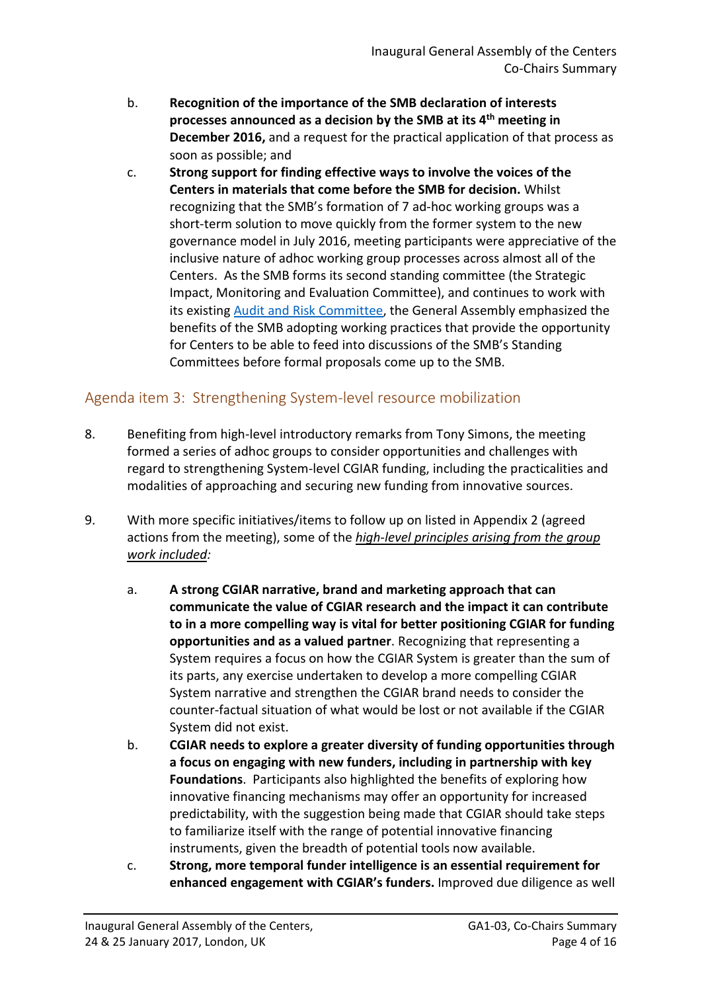- b. **Recognition of the importance of the SMB declaration of interests processes announced as a decision by the SMB at its 4th meeting in December 2016,** and a request for the practical application of that process as soon as possible; and
- c. **Strong support for finding effective ways to involve the voices of the Centers in materials that come before the SMB for decision.** Whilst recognizing that the SMB's formation of 7 ad-hoc working groups was a short-term solution to move quickly from the former system to the new governance model in July 2016, meeting participants were appreciative of the inclusive nature of adhoc working group processes across almost all of the Centers. As the SMB forms its second standing committee (the Strategic Impact, Monitoring and Evaluation Committee), and continues to work with its existing [Audit and Risk Committee,](http://www.cgiar.org/about-us/our-governance/system-organization/system-management-board/system-management-board-standing-committees/) the General Assembly emphasized the benefits of the SMB adopting working practices that provide the opportunity for Centers to be able to feed into discussions of the SMB's Standing Committees before formal proposals come up to the SMB.

## <span id="page-3-0"></span>Agenda item 3: Strengthening System-level resource mobilization

- 8. Benefiting from high-level introductory remarks from Tony Simons, the meeting formed a series of adhoc groups to consider opportunities and challenges with regard to strengthening System-level CGIAR funding, including the practicalities and modalities of approaching and securing new funding from innovative sources.
- 9. With more specific initiatives/items to follow up on listed in Appendix 2 (agreed actions from the meeting), some of the *high-level principles arising from the group work included:*
	- a. **A strong CGIAR narrative, brand and marketing approach that can communicate the value of CGIAR research and the impact it can contribute to in a more compelling way is vital for better positioning CGIAR for funding opportunities and as a valued partner**. Recognizing that representing a System requires a focus on how the CGIAR System is greater than the sum of its parts, any exercise undertaken to develop a more compelling CGIAR System narrative and strengthen the CGIAR brand needs to consider the counter-factual situation of what would be lost or not available if the CGIAR System did not exist.
	- b. **CGIAR needs to explore a greater diversity of funding opportunities through a focus on engaging with new funders, including in partnership with key Foundations**. Participants also highlighted the benefits of exploring how innovative financing mechanisms may offer an opportunity for increased predictability, with the suggestion being made that CGIAR should take steps to familiarize itself with the range of potential innovative financing instruments, given the breadth of potential tools now available.
	- c. **Strong, more temporal funder intelligence is an essential requirement for enhanced engagement with CGIAR's funders.** Improved due diligence as well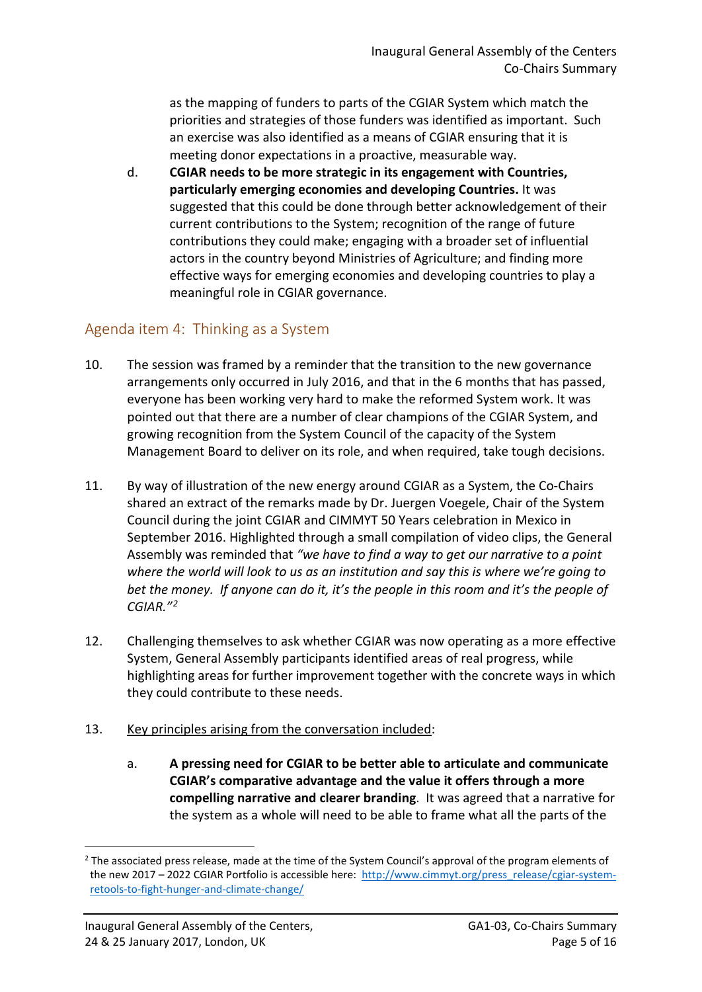as the mapping of funders to parts of the CGIAR System which match the priorities and strategies of those funders was identified as important. Such an exercise was also identified as a means of CGIAR ensuring that it is meeting donor expectations in a proactive, measurable way.

d. **CGIAR needs to be more strategic in its engagement with Countries, particularly emerging economies and developing Countries.** It was suggested that this could be done through better acknowledgement of their current contributions to the System; recognition of the range of future contributions they could make; engaging with a broader set of influential actors in the country beyond Ministries of Agriculture; and finding more effective ways for emerging economies and developing countries to play a meaningful role in CGIAR governance.

## <span id="page-4-0"></span>Agenda item 4: Thinking as a System

- 10. The session was framed by a reminder that the transition to the new governance arrangements only occurred in July 2016, and that in the 6 months that has passed, everyone has been working very hard to make the reformed System work. It was pointed out that there are a number of clear champions of the CGIAR System, and growing recognition from the System Council of the capacity of the System Management Board to deliver on its role, and when required, take tough decisions.
- 11. By way of illustration of the new energy around CGIAR as a System, the Co-Chairs shared an extract of the remarks made by Dr. Juergen Voegele, Chair of the System Council during the joint CGIAR and CIMMYT 50 Years celebration in Mexico in September 2016. Highlighted through a small compilation of video clips, the General Assembly was reminded that *"we have to find a way to get our narrative to a point where the world will look to us as an institution and say this is where we're going to bet the money. If anyone can do it, it's the people in this room and it's the people of CGIAR."[2](#page-4-1)*
- 12. Challenging themselves to ask whether CGIAR was now operating as a more effective System, General Assembly participants identified areas of real progress, while highlighting areas for further improvement together with the concrete ways in which they could contribute to these needs.

### 13. Key principles arising from the conversation included:

a. **A pressing need for CGIAR to be better able to articulate and communicate CGIAR's comparative advantage and the value it offers through a more compelling narrative and clearer branding**. It was agreed that a narrative for the system as a whole will need to be able to frame what all the parts of the

<u>.</u>

<span id="page-4-1"></span> $2$  The associated press release, made at the time of the System Council's approval of the program elements of the new 2017 – 2022 CGIAR Portfolio is accessible here: [http://www.cimmyt.org/press\\_release/cgiar-system](http://www.cimmyt.org/press_release/cgiar-system-retools-to-fight-hunger-and-climate-change/)[retools-to-fight-hunger-and-climate-change/](http://www.cimmyt.org/press_release/cgiar-system-retools-to-fight-hunger-and-climate-change/)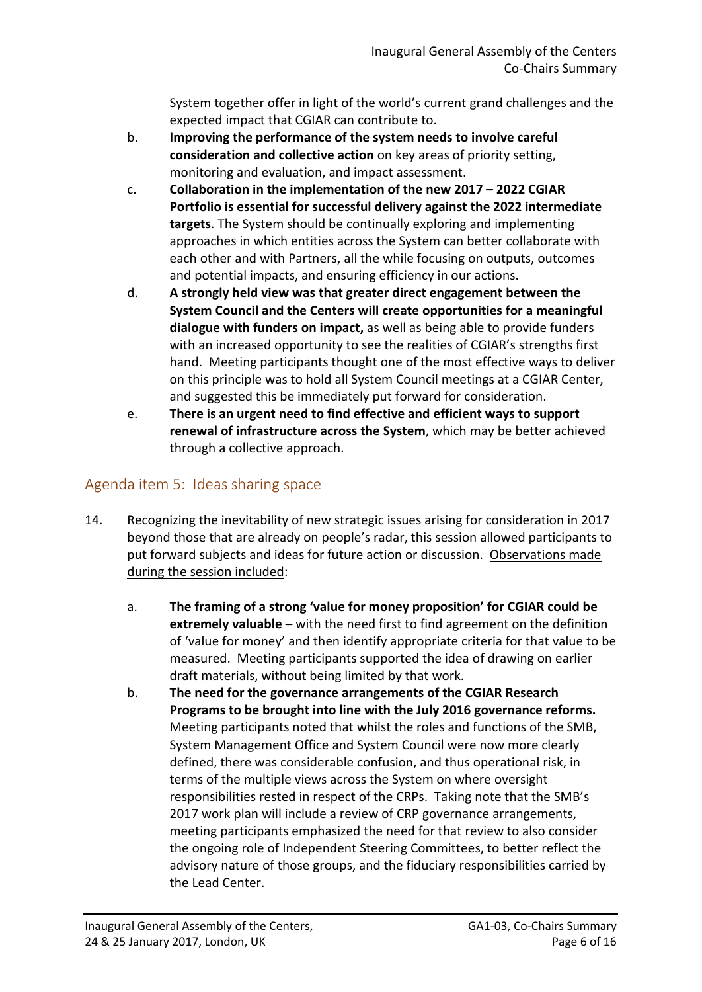System together offer in light of the world's current grand challenges and the expected impact that CGIAR can contribute to.

- b. **Improving the performance of the system needs to involve careful consideration and collective action** on key areas of priority setting, monitoring and evaluation, and impact assessment.
- c. **Collaboration in the implementation of the new 2017 2022 CGIAR Portfolio is essential for successful delivery against the 2022 intermediate targets**. The System should be continually exploring and implementing approaches in which entities across the System can better collaborate with each other and with Partners, all the while focusing on outputs, outcomes and potential impacts, and ensuring efficiency in our actions.
- d. **A strongly held view was that greater direct engagement between the System Council and the Centers will create opportunities for a meaningful dialogue with funders on impact,** as well as being able to provide funders with an increased opportunity to see the realities of CGIAR's strengths first hand. Meeting participants thought one of the most effective ways to deliver on this principle was to hold all System Council meetings at a CGIAR Center, and suggested this be immediately put forward for consideration.
- e. **There is an urgent need to find effective and efficient ways to support renewal of infrastructure across the System**, which may be better achieved through a collective approach.

## <span id="page-5-0"></span>Agenda item 5: Ideas sharing space

- 14. Recognizing the inevitability of new strategic issues arising for consideration in 2017 beyond those that are already on people's radar, this session allowed participants to put forward subjects and ideas for future action or discussion. Observations made during the session included:
	- a. **The framing of a strong 'value for money proposition' for CGIAR could be extremely valuable –** with the need first to find agreement on the definition of 'value for money' and then identify appropriate criteria for that value to be measured. Meeting participants supported the idea of drawing on earlier draft materials, without being limited by that work.
	- b. **The need for the governance arrangements of the CGIAR Research Programs to be brought into line with the July 2016 governance reforms.**  Meeting participants noted that whilst the roles and functions of the SMB, System Management Office and System Council were now more clearly defined, there was considerable confusion, and thus operational risk, in terms of the multiple views across the System on where oversight responsibilities rested in respect of the CRPs. Taking note that the SMB's 2017 work plan will include a review of CRP governance arrangements, meeting participants emphasized the need for that review to also consider the ongoing role of Independent Steering Committees, to better reflect the advisory nature of those groups, and the fiduciary responsibilities carried by the Lead Center.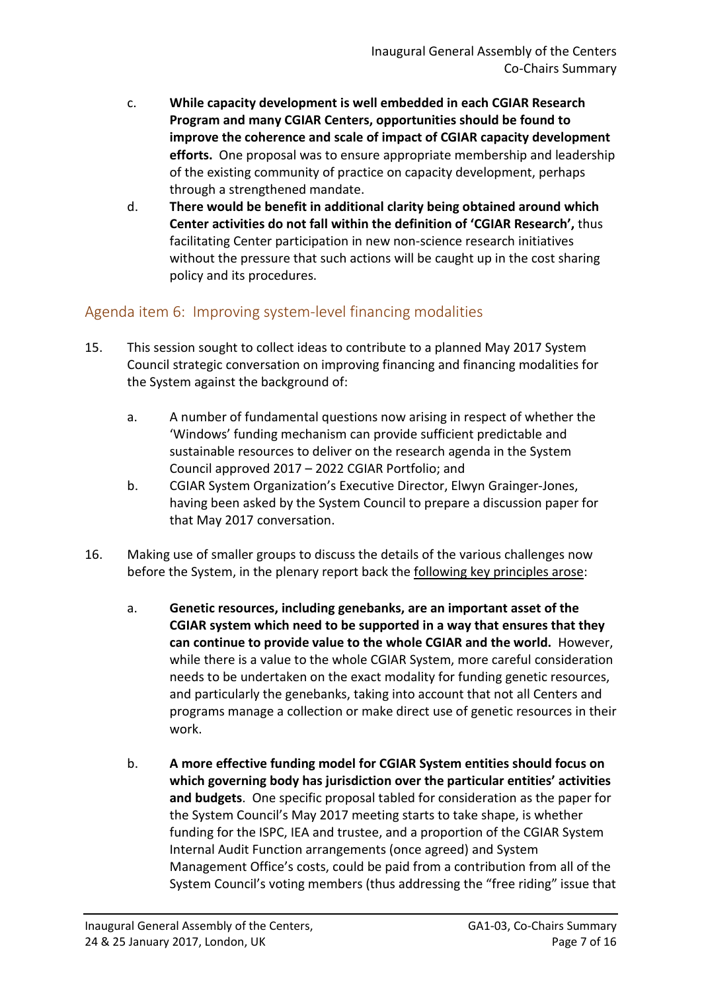- c. **While capacity development is well embedded in each CGIAR Research Program and many CGIAR Centers, opportunities should be found to improve the coherence and scale of impact of CGIAR capacity development efforts.** One proposal was to ensure appropriate membership and leadership of the existing community of practice on capacity development, perhaps through a strengthened mandate.
- d. **There would be benefit in additional clarity being obtained around which Center activities do not fall within the definition of 'CGIAR Research',** thus facilitating Center participation in new non-science research initiatives without the pressure that such actions will be caught up in the cost sharing policy and its procedures.

## <span id="page-6-0"></span>Agenda item 6: Improving system-level financing modalities

- 15. This session sought to collect ideas to contribute to a planned May 2017 System Council strategic conversation on improving financing and financing modalities for the System against the background of:
	- a. A number of fundamental questions now arising in respect of whether the 'Windows' funding mechanism can provide sufficient predictable and sustainable resources to deliver on the research agenda in the System Council approved 2017 – 2022 CGIAR Portfolio; and
	- b. CGIAR System Organization's Executive Director, Elwyn Grainger-Jones, having been asked by the System Council to prepare a discussion paper for that May 2017 conversation.
- 16. Making use of smaller groups to discuss the details of the various challenges now before the System, in the plenary report back the following key principles arose:
	- a. **Genetic resources, including genebanks, are an important asset of the CGIAR system which need to be supported in a way that ensures that they can continue to provide value to the whole CGIAR and the world.** However, while there is a value to the whole CGIAR System, more careful consideration needs to be undertaken on the exact modality for funding genetic resources, and particularly the genebanks, taking into account that not all Centers and programs manage a collection or make direct use of genetic resources in their work.
	- b. **A more effective funding model for CGIAR System entities should focus on which governing body has jurisdiction over the particular entities' activities and budgets**. One specific proposal tabled for consideration as the paper for the System Council's May 2017 meeting starts to take shape, is whether funding for the ISPC, IEA and trustee, and a proportion of the CGIAR System Internal Audit Function arrangements (once agreed) and System Management Office's costs, could be paid from a contribution from all of the System Council's voting members (thus addressing the "free riding" issue that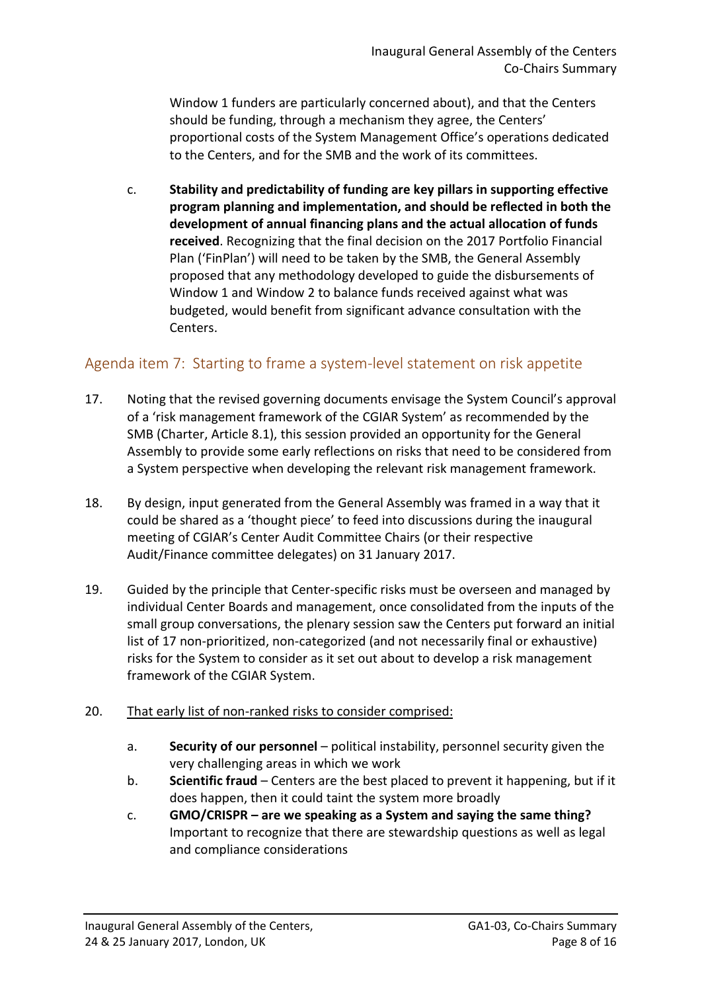Window 1 funders are particularly concerned about), and that the Centers should be funding, through a mechanism they agree, the Centers' proportional costs of the System Management Office's operations dedicated to the Centers, and for the SMB and the work of its committees.

c. **Stability and predictability of funding are key pillars in supporting effective program planning and implementation, and should be reflected in both the development of annual financing plans and the actual allocation of funds received**. Recognizing that the final decision on the 2017 Portfolio Financial Plan ('FinPlan') will need to be taken by the SMB, the General Assembly proposed that any methodology developed to guide the disbursements of Window 1 and Window 2 to balance funds received against what was budgeted, would benefit from significant advance consultation with the Centers.

## <span id="page-7-0"></span>Agenda item 7: Starting to frame a system-level statement on risk appetite

- 17. Noting that the revised governing documents envisage the System Council's approval of a 'risk management framework of the CGIAR System' as recommended by the SMB (Charter, Article 8.1), this session provided an opportunity for the General Assembly to provide some early reflections on risks that need to be considered from a System perspective when developing the relevant risk management framework.
- 18. By design, input generated from the General Assembly was framed in a way that it could be shared as a 'thought piece' to feed into discussions during the inaugural meeting of CGIAR's Center Audit Committee Chairs (or their respective Audit/Finance committee delegates) on 31 January 2017.
- 19. Guided by the principle that Center-specific risks must be overseen and managed by individual Center Boards and management, once consolidated from the inputs of the small group conversations, the plenary session saw the Centers put forward an initial list of 17 non-prioritized, non-categorized (and not necessarily final or exhaustive) risks for the System to consider as it set out about to develop a risk management framework of the CGIAR System.

#### 20. That early list of non-ranked risks to consider comprised:

- a. **Security of our personnel**  political instability, personnel security given the very challenging areas in which we work
- b. **Scientific fraud**  Centers are the best placed to prevent it happening, but if it does happen, then it could taint the system more broadly
- c. **GMO/CRISPR are we speaking as a System and saying the same thing?**  Important to recognize that there are stewardship questions as well as legal and compliance considerations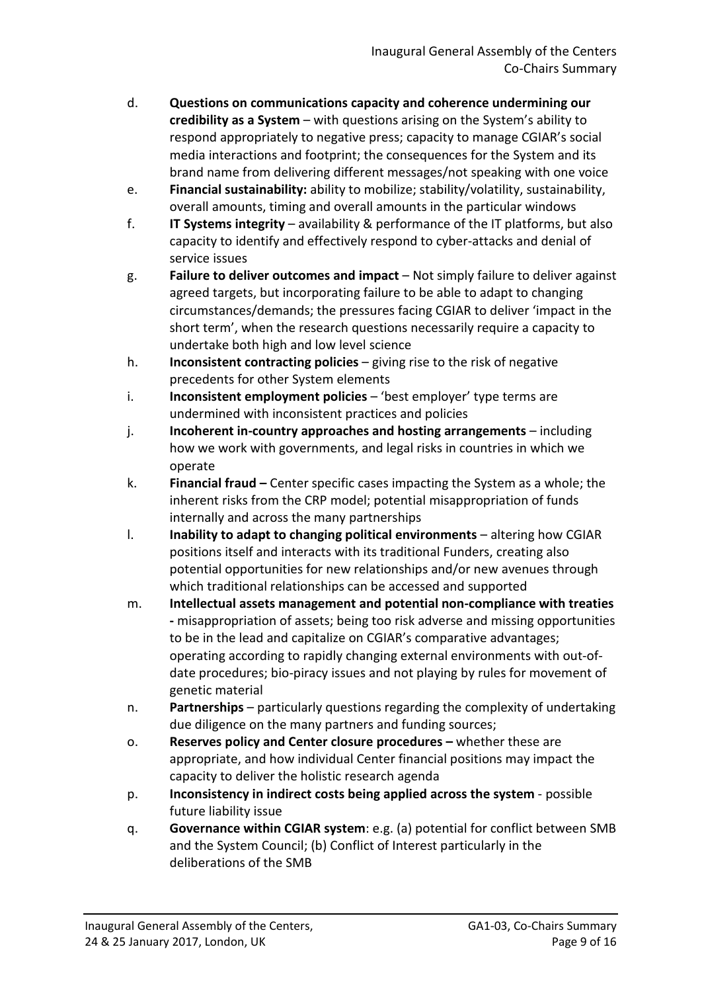- d. **Questions on communications capacity and coherence undermining our credibility as a System** – with questions arising on the System's ability to respond appropriately to negative press; capacity to manage CGIAR's social media interactions and footprint; the consequences for the System and its brand name from delivering different messages/not speaking with one voice
- e. **Financial sustainability:** ability to mobilize; stability/volatility, sustainability, overall amounts, timing and overall amounts in the particular windows
- f. **IT Systems integrity**  availability & performance of the IT platforms, but also capacity to identify and effectively respond to cyber-attacks and denial of service issues
- g. **Failure to deliver outcomes and impact** Not simply failure to deliver against agreed targets, but incorporating failure to be able to adapt to changing circumstances/demands; the pressures facing CGIAR to deliver 'impact in the short term', when the research questions necessarily require a capacity to undertake both high and low level science
- h. **Inconsistent contracting policies**  giving rise to the risk of negative precedents for other System elements
- i. **Inconsistent employment policies** 'best employer' type terms are undermined with inconsistent practices and policies
- j. **Incoherent in-country approaches and hosting arrangements** including how we work with governments, and legal risks in countries in which we operate
- k. **Financial fraud** Center specific cases impacting the System as a whole; the inherent risks from the CRP model; potential misappropriation of funds internally and across the many partnerships
- l. **Inability to adapt to changing political environments**  altering how CGIAR positions itself and interacts with its traditional Funders, creating also potential opportunities for new relationships and/or new avenues through which traditional relationships can be accessed and supported
- m. **Intellectual assets management and potential non-compliance with treaties -** misappropriation of assets; being too risk adverse and missing opportunities to be in the lead and capitalize on CGIAR's comparative advantages; operating according to rapidly changing external environments with out-ofdate procedures; bio-piracy issues and not playing by rules for movement of genetic material
- n. **Partnerships** particularly questions regarding the complexity of undertaking due diligence on the many partners and funding sources;
- o. **Reserves policy and Center closure procedures** whether these are appropriate, and how individual Center financial positions may impact the capacity to deliver the holistic research agenda
- p. **Inconsistency in indirect costs being applied across the system** possible future liability issue
- q. **Governance within CGIAR system**: e.g. (a) potential for conflict between SMB and the System Council; (b) Conflict of Interest particularly in the deliberations of the SMB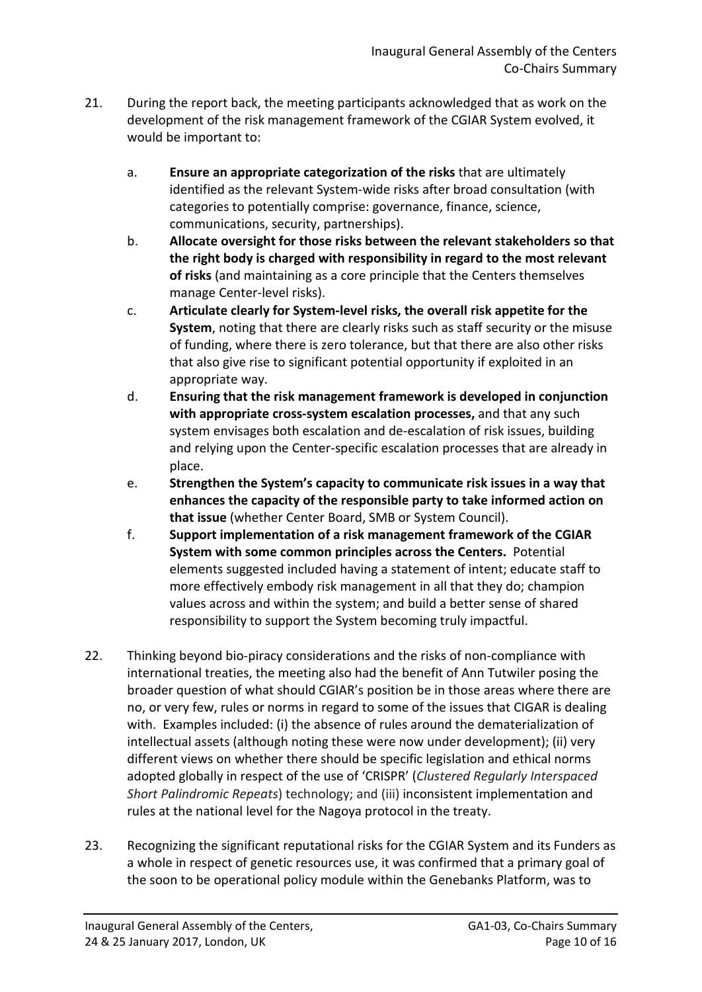- 21. During the report back, the meeting participants acknowledged that as work on the development of the risk management framework of the CGIAR System evolved, it would be important to:
	- a. **Ensure an appropriate categorization of the risks** that are ultimately identified as the relevant System-wide risks after broad consultation (with categories to potentially comprise: governance, finance, science, communications, security, partnerships).
	- b. **Allocate oversight for those risks between the relevant stakeholders so that the right body is charged with responsibility in regard to the most relevant of risks** (and maintaining as a core principle that the Centers themselves manage Center-level risks).
	- c. **Articulate clearly for System-level risks, the overall risk appetite for the System**, noting that there are clearly risks such as staff security or the misuse of funding, where there is zero tolerance, but that there are also other risks that also give rise to significant potential opportunity if exploited in an appropriate way.
	- d. **Ensuring that the risk management framework is developed in conjunction with appropriate cross-system escalation processes,** and that any such system envisages both escalation and de-escalation of risk issues, building and relying upon the Center-specific escalation processes that are already in place.
	- e. **Strengthen the System's capacity to communicate risk issues in a way that enhances the capacity of the responsible party to take informed action on that issue** (whether Center Board, SMB or System Council).
	- f. **Support implementation of a risk management framework of the CGIAR System with some common principles across the Centers.** Potential elements suggested included having a statement of intent; educate staff to more effectively embody risk management in all that they do; champion values across and within the system; and build a better sense of shared responsibility to support the System becoming truly impactful.
- 22. Thinking beyond bio-piracy considerations and the risks of non-compliance with international treaties, the meeting also had the benefit of Ann Tutwiler posing the broader question of what should CGIAR's position be in those areas where there are no, or very few, rules or norms in regard to some of the issues that CIGAR is dealing with. Examples included: (i) the absence of rules around the dematerialization of intellectual assets (although noting these were now under development); (ii) very different views on whether there should be specific legislation and ethical norms adopted globally in respect of the use of 'CRISPR' (*Clustered Regularly Interspaced Short Palindromic Repeats*) technology; and (iii) inconsistent implementation and rules at the national level for the Nagoya protocol in the treaty.
- 23. Recognizing the significant reputational risks for the CGIAR System and its Funders as a whole in respect of genetic resources use, it was confirmed that a primary goal of the soon to be operational policy module within the Genebanks Platform, was to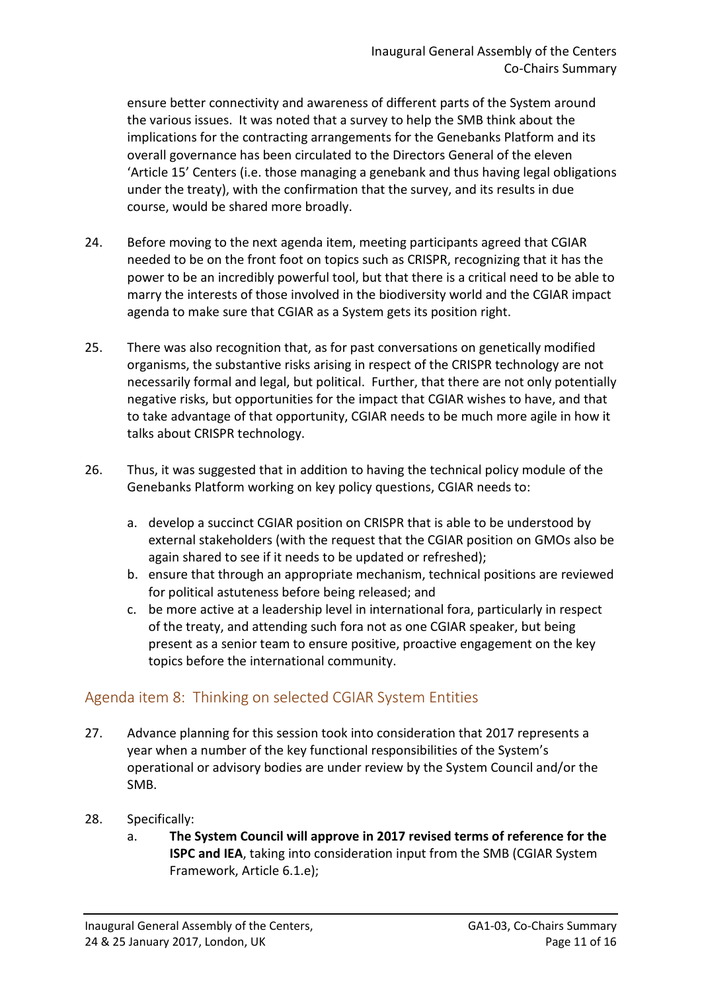ensure better connectivity and awareness of different parts of the System around the various issues. It was noted that a survey to help the SMB think about the implications for the contracting arrangements for the Genebanks Platform and its overall governance has been circulated to the Directors General of the eleven 'Article 15' Centers (i.e. those managing a genebank and thus having legal obligations under the treaty), with the confirmation that the survey, and its results in due course, would be shared more broadly.

- 24. Before moving to the next agenda item, meeting participants agreed that CGIAR needed to be on the front foot on topics such as CRISPR, recognizing that it has the power to be an incredibly powerful tool, but that there is a critical need to be able to marry the interests of those involved in the biodiversity world and the CGIAR impact agenda to make sure that CGIAR as a System gets its position right.
- 25. There was also recognition that, as for past conversations on genetically modified organisms, the substantive risks arising in respect of the CRISPR technology are not necessarily formal and legal, but political. Further, that there are not only potentially negative risks, but opportunities for the impact that CGIAR wishes to have, and that to take advantage of that opportunity, CGIAR needs to be much more agile in how it talks about CRISPR technology.
- 26. Thus, it was suggested that in addition to having the technical policy module of the Genebanks Platform working on key policy questions, CGIAR needs to:
	- a. develop a succinct CGIAR position on CRISPR that is able to be understood by external stakeholders (with the request that the CGIAR position on GMOs also be again shared to see if it needs to be updated or refreshed);
	- b. ensure that through an appropriate mechanism, technical positions are reviewed for political astuteness before being released; and
	- c. be more active at a leadership level in international fora, particularly in respect of the treaty, and attending such fora not as one CGIAR speaker, but being present as a senior team to ensure positive, proactive engagement on the key topics before the international community.

## <span id="page-10-0"></span>Agenda item 8: Thinking on selected CGIAR System Entities

- 27. Advance planning for this session took into consideration that 2017 represents a year when a number of the key functional responsibilities of the System's operational or advisory bodies are under review by the System Council and/or the SMB.
- 28. Specifically:
	- a. **The System Council will approve in 2017 revised terms of reference for the ISPC and IEA**, taking into consideration input from the SMB (CGIAR System Framework, Article 6.1.e);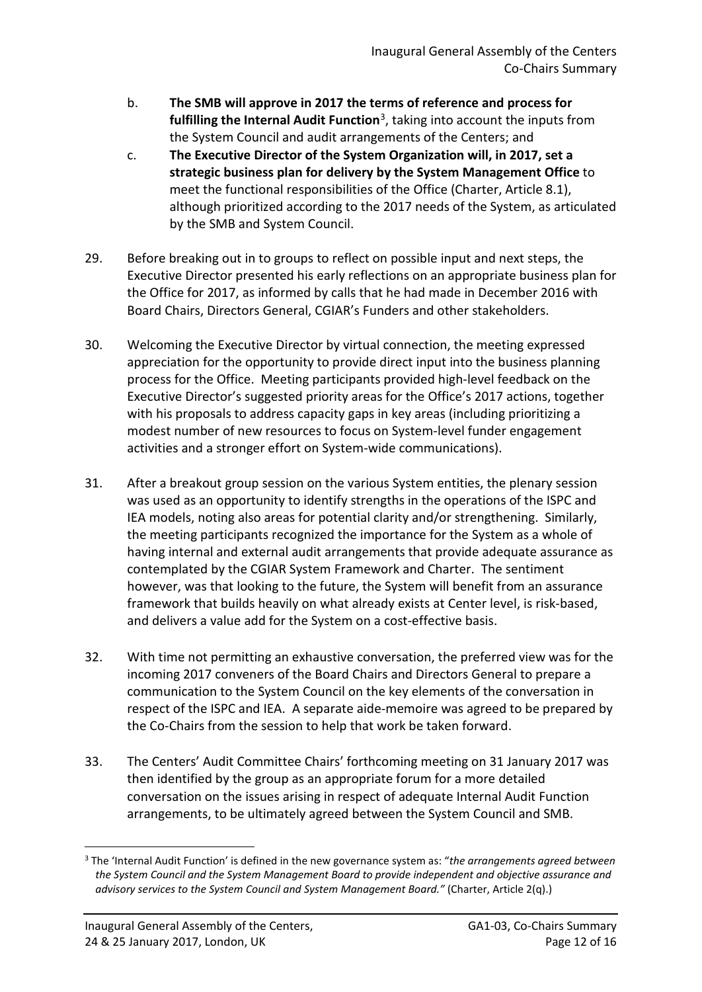- b. **The SMB will approve in 2017 the terms of reference and process for fulfilling the Internal Audit Function**[3](#page-11-0), taking into account the inputs from the System Council and audit arrangements of the Centers; and
- c. **The Executive Director of the System Organization will, in 2017, set a strategic business plan for delivery by the System Management Office** to meet the functional responsibilities of the Office (Charter, Article 8.1), although prioritized according to the 2017 needs of the System, as articulated by the SMB and System Council.
- 29. Before breaking out in to groups to reflect on possible input and next steps, the Executive Director presented his early reflections on an appropriate business plan for the Office for 2017, as informed by calls that he had made in December 2016 with Board Chairs, Directors General, CGIAR's Funders and other stakeholders.
- 30. Welcoming the Executive Director by virtual connection, the meeting expressed appreciation for the opportunity to provide direct input into the business planning process for the Office. Meeting participants provided high-level feedback on the Executive Director's suggested priority areas for the Office's 2017 actions, together with his proposals to address capacity gaps in key areas (including prioritizing a modest number of new resources to focus on System-level funder engagement activities and a stronger effort on System-wide communications).
- 31. After a breakout group session on the various System entities, the plenary session was used as an opportunity to identify strengths in the operations of the ISPC and IEA models, noting also areas for potential clarity and/or strengthening. Similarly, the meeting participants recognized the importance for the System as a whole of having internal and external audit arrangements that provide adequate assurance as contemplated by the CGIAR System Framework and Charter. The sentiment however, was that looking to the future, the System will benefit from an assurance framework that builds heavily on what already exists at Center level, is risk-based, and delivers a value add for the System on a cost-effective basis.
- 32. With time not permitting an exhaustive conversation, the preferred view was for the incoming 2017 conveners of the Board Chairs and Directors General to prepare a communication to the System Council on the key elements of the conversation in respect of the ISPC and IEA. A separate aide-memoire was agreed to be prepared by the Co-Chairs from the session to help that work be taken forward.
- 33. The Centers' Audit Committee Chairs' forthcoming meeting on 31 January 2017 was then identified by the group as an appropriate forum for a more detailed conversation on the issues arising in respect of adequate Internal Audit Function arrangements, to be ultimately agreed between the System Council and SMB.

<u>.</u>

<span id="page-11-0"></span><sup>3</sup> The 'Internal Audit Function' is defined in the new governance system as: "*the arrangements agreed between the System Council and the System Management Board to provide independent and objective assurance and advisory services to the System Council and System Management Board."* (Charter, Article 2(q).)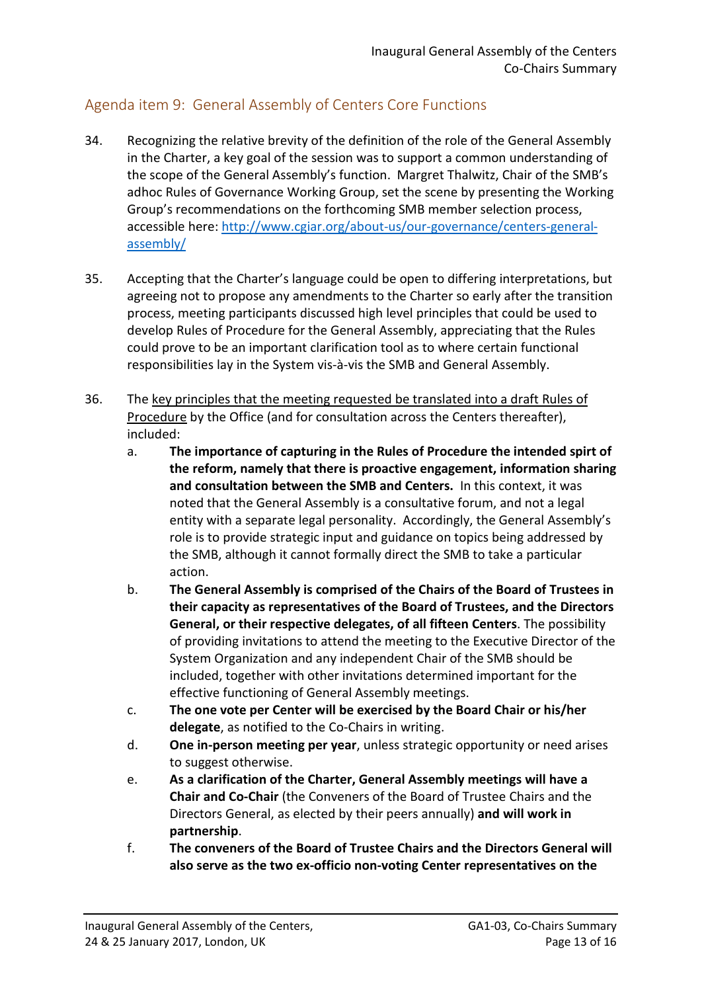## <span id="page-12-0"></span>Agenda item 9: General Assembly of Centers Core Functions

- 34. Recognizing the relative brevity of the definition of the role of the General Assembly in the Charter, a key goal of the session was to support a common understanding of the scope of the General Assembly's function. Margret Thalwitz, Chair of the SMB's adhoc Rules of Governance Working Group, set the scene by presenting the Working Group's recommendations on the forthcoming SMB member selection process, accessible here: [http://www.cgiar.org/about-us/our-governance/centers-general](http://www.cgiar.org/about-us/our-governance/centers-general-assembly/)[assembly/](http://www.cgiar.org/about-us/our-governance/centers-general-assembly/)
- 35. Accepting that the Charter's language could be open to differing interpretations, but agreeing not to propose any amendments to the Charter so early after the transition process, meeting participants discussed high level principles that could be used to develop Rules of Procedure for the General Assembly, appreciating that the Rules could prove to be an important clarification tool as to where certain functional responsibilities lay in the System vis-à-vis the SMB and General Assembly.
- 36. The key principles that the meeting requested be translated into a draft Rules of Procedure by the Office (and for consultation across the Centers thereafter), included:
	- a. **The importance of capturing in the Rules of Procedure the intended spirt of the reform, namely that there is proactive engagement, information sharing and consultation between the SMB and Centers.** In this context, it was noted that the General Assembly is a consultative forum, and not a legal entity with a separate legal personality. Accordingly, the General Assembly's role is to provide strategic input and guidance on topics being addressed by the SMB, although it cannot formally direct the SMB to take a particular action.
	- b. **The General Assembly is comprised of the Chairs of the Board of Trustees in their capacity as representatives of the Board of Trustees, and the Directors General, or their respective delegates, of all fifteen Centers**. The possibility of providing invitations to attend the meeting to the Executive Director of the System Organization and any independent Chair of the SMB should be included, together with other invitations determined important for the effective functioning of General Assembly meetings.
	- c. **The one vote per Center will be exercised by the Board Chair or his/her delegate**, as notified to the Co-Chairs in writing.
	- d. **One in-person meeting per year**, unless strategic opportunity or need arises to suggest otherwise.
	- e. **As a clarification of the Charter, General Assembly meetings will have a Chair and Co-Chair** (the Conveners of the Board of Trustee Chairs and the Directors General, as elected by their peers annually) **and will work in partnership**.
	- f. **The conveners of the Board of Trustee Chairs and the Directors General will also serve as the two ex-officio non-voting Center representatives on the**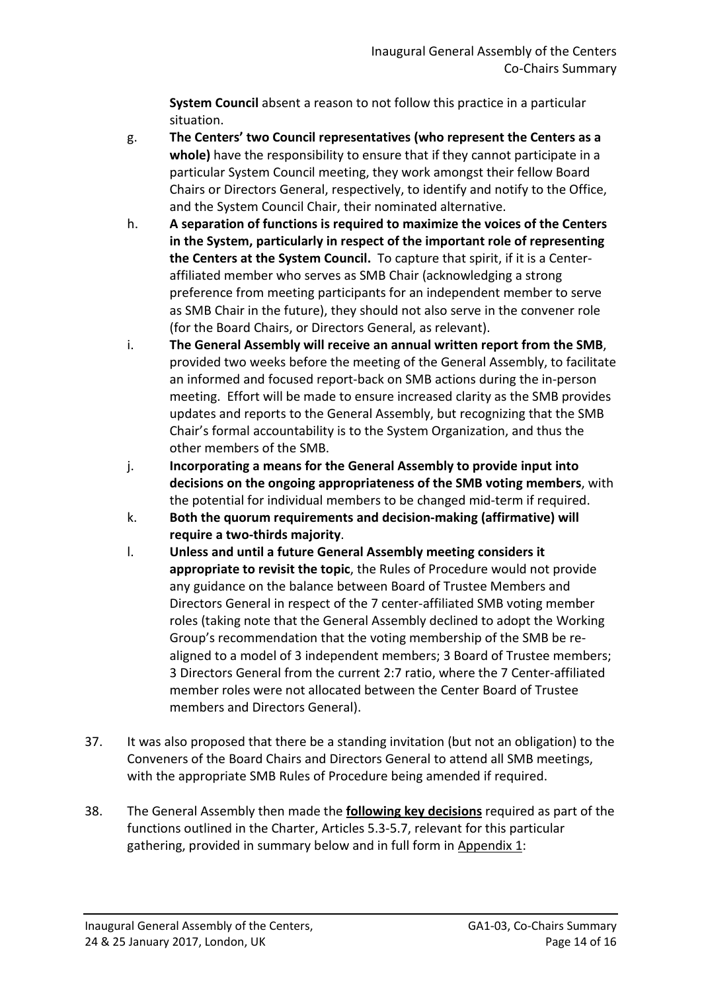**System Council** absent a reason to not follow this practice in a particular situation.

- g. **The Centers' two Council representatives (who represent the Centers as a whole)** have the responsibility to ensure that if they cannot participate in a particular System Council meeting, they work amongst their fellow Board Chairs or Directors General, respectively, to identify and notify to the Office, and the System Council Chair, their nominated alternative.
- h. **A separation of functions is required to maximize the voices of the Centers in the System, particularly in respect of the important role of representing the Centers at the System Council.** To capture that spirit, if it is a Centeraffiliated member who serves as SMB Chair (acknowledging a strong preference from meeting participants for an independent member to serve as SMB Chair in the future), they should not also serve in the convener role (for the Board Chairs, or Directors General, as relevant).
- i. **The General Assembly will receive an annual written report from the SMB**, provided two weeks before the meeting of the General Assembly, to facilitate an informed and focused report-back on SMB actions during the in-person meeting. Effort will be made to ensure increased clarity as the SMB provides updates and reports to the General Assembly, but recognizing that the SMB Chair's formal accountability is to the System Organization, and thus the other members of the SMB.
- j. **Incorporating a means for the General Assembly to provide input into decisions on the ongoing appropriateness of the SMB voting members**, with the potential for individual members to be changed mid-term if required.
- k. **Both the quorum requirements and decision-making (affirmative) will require a two-thirds majority**.
- l. **Unless and until a future General Assembly meeting considers it appropriate to revisit the topic**, the Rules of Procedure would not provide any guidance on the balance between Board of Trustee Members and Directors General in respect of the 7 center-affiliated SMB voting member roles (taking note that the General Assembly declined to adopt the Working Group's recommendation that the voting membership of the SMB be realigned to a model of 3 independent members; 3 Board of Trustee members; 3 Directors General from the current 2:7 ratio, where the 7 Center-affiliated member roles were not allocated between the Center Board of Trustee members and Directors General).
- 37. It was also proposed that there be a standing invitation (but not an obligation) to the Conveners of the Board Chairs and Directors General to attend all SMB meetings, with the appropriate SMB Rules of Procedure being amended if required.
- 38. The General Assembly then made the **following key decisions** required as part of the functions outlined in the Charter, Articles 5.3-5.7, relevant for this particular gathering, provided in summary below and in full form in Appendix 1: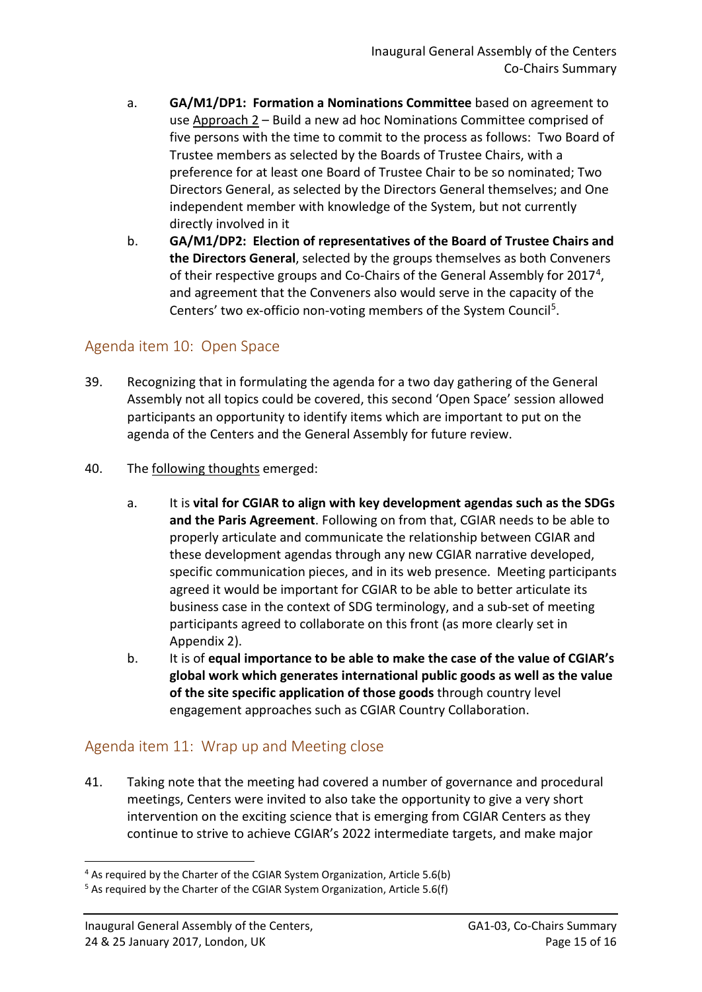- a. **GA/M1/DP1: Formation a Nominations Committee** based on agreement to use Approach 2 – Build a new ad hoc Nominations Committee comprised of five persons with the time to commit to the process as follows: Two Board of Trustee members as selected by the Boards of Trustee Chairs, with a preference for at least one Board of Trustee Chair to be so nominated; Two Directors General, as selected by the Directors General themselves; and One independent member with knowledge of the System, but not currently directly involved in it
- b. **GA/M1/DP2: Election of representatives of the Board of Trustee Chairs and the Directors General**, selected by the groups themselves as both Conveners of their respective groups and Co-Chairs of the General Assembly for 2017[4](#page-14-2), and agreement that the Conveners also would serve in the capacity of the Centers' two ex-officio non-voting members of the System Council<sup>5</sup>.

## <span id="page-14-0"></span>Agenda item 10: Open Space

- 39. Recognizing that in formulating the agenda for a two day gathering of the General Assembly not all topics could be covered, this second 'Open Space' session allowed participants an opportunity to identify items which are important to put on the agenda of the Centers and the General Assembly for future review.
- 40. The following thoughts emerged:
	- a. It is **vital for CGIAR to align with key development agendas such as the SDGs and the Paris Agreement**. Following on from that, CGIAR needs to be able to properly articulate and communicate the relationship between CGIAR and these development agendas through any new CGIAR narrative developed, specific communication pieces, and in its web presence. Meeting participants agreed it would be important for CGIAR to be able to better articulate its business case in the context of SDG terminology, and a sub-set of meeting participants agreed to collaborate on this front (as more clearly set in Appendix 2).
	- b. It is of **equal importance to be able to make the case of the value of CGIAR's global work which generates international public goods as well as the value of the site specific application of those goods** through country level engagement approaches such as CGIAR Country Collaboration.

## <span id="page-14-1"></span>Agenda item 11: Wrap up and Meeting close

41. Taking note that the meeting had covered a number of governance and procedural meetings, Centers were invited to also take the opportunity to give a very short intervention on the exciting science that is emerging from CGIAR Centers as they continue to strive to achieve CGIAR's 2022 intermediate targets, and make major

**<sup>.</sup>** <sup>4</sup> As required by the Charter of the CGIAR System Organization, Article 5.6(b)

<span id="page-14-3"></span><span id="page-14-2"></span><sup>&</sup>lt;sup>5</sup> As required by the Charter of the CGIAR System Organization, Article 5.6(f)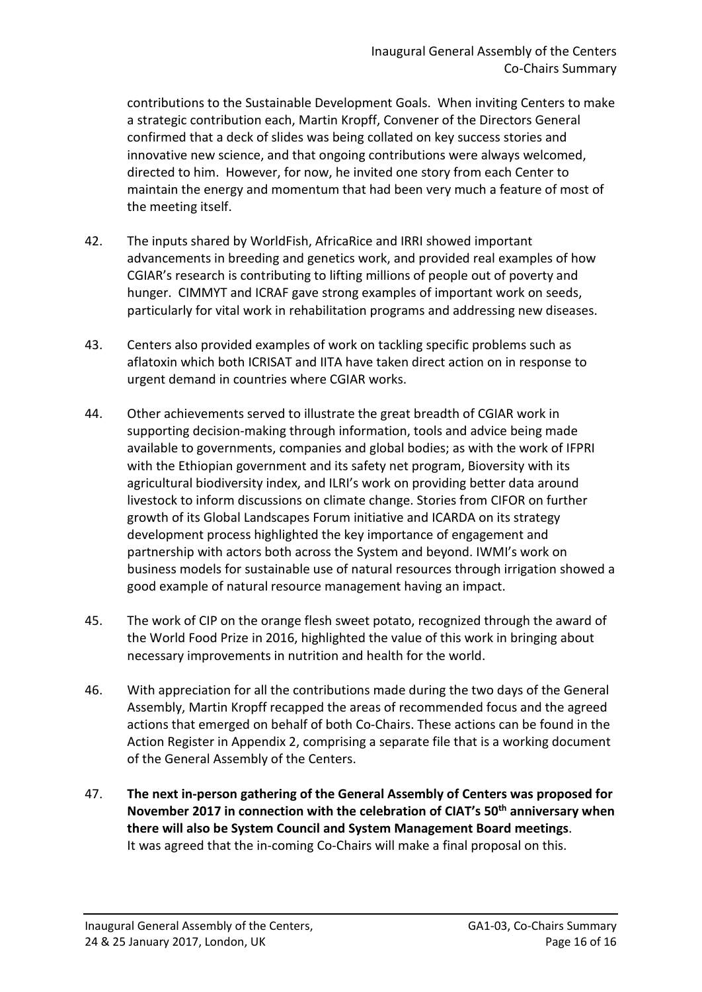contributions to the Sustainable Development Goals. When inviting Centers to make a strategic contribution each, Martin Kropff, Convener of the Directors General confirmed that a deck of slides was being collated on key success stories and innovative new science, and that ongoing contributions were always welcomed, directed to him. However, for now, he invited one story from each Center to maintain the energy and momentum that had been very much a feature of most of the meeting itself.

- 42. The inputs shared by WorldFish, AfricaRice and IRRI showed important advancements in breeding and genetics work, and provided real examples of how CGIAR's research is contributing to lifting millions of people out of poverty and hunger. CIMMYT and ICRAF gave strong examples of important work on seeds, particularly for vital work in rehabilitation programs and addressing new diseases.
- 43. Centers also provided examples of work on tackling specific problems such as aflatoxin which both ICRISAT and IITA have taken direct action on in response to urgent demand in countries where CGIAR works.
- 44. Other achievements served to illustrate the great breadth of CGIAR work in supporting decision-making through information, tools and advice being made available to governments, companies and global bodies; as with the work of IFPRI with the Ethiopian government and its safety net program, Bioversity with its agricultural biodiversity index, and ILRI's work on providing better data around livestock to inform discussions on climate change. Stories from CIFOR on further growth of its Global Landscapes Forum initiative and ICARDA on its strategy development process highlighted the key importance of engagement and partnership with actors both across the System and beyond. IWMI's work on business models for sustainable use of natural resources through irrigation showed a good example of natural resource management having an impact.
- 45. The work of CIP on the orange flesh sweet potato, recognized through the award of the World Food Prize in 2016, highlighted the value of this work in bringing about necessary improvements in nutrition and health for the world.
- 46. With appreciation for all the contributions made during the two days of the General Assembly, Martin Kropff recapped the areas of recommended focus and the agreed actions that emerged on behalf of both Co-Chairs. These actions can be found in the Action Register in Appendix 2, comprising a separate file that is a working document of the General Assembly of the Centers.
- 47. **The next in-person gathering of the General Assembly of Centers was proposed for November 2017 in connection with the celebration of CIAT's 50th anniversary when there will also be System Council and System Management Board meetings**. It was agreed that the in-coming Co-Chairs will make a final proposal on this.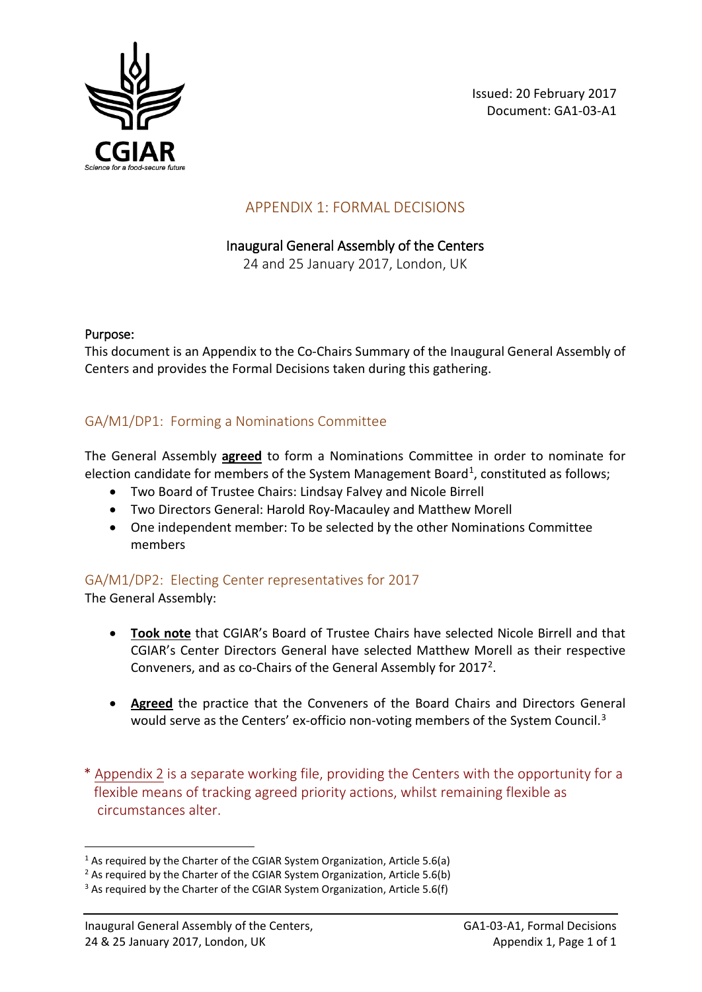

Issued: 20 February 2017 Document: GA1-03-A1

## APPENDIX 1: FORMAL DECISIONS

### Inaugural General Assembly of the Centers

24 and 25 January 2017, London, UK

#### Purpose:

This document is an Appendix to the Co-Chairs Summary of the Inaugural General Assembly of Centers and provides the Formal Decisions taken during this gathering.

### GA/M1/DP1: Forming a Nominations Committee

The General Assembly **agreed** to form a Nominations Committee in order to nominate for election candidate for members of the System Management Board<sup>[1](#page-16-0)</sup>, constituted as follows;

- Two Board of Trustee Chairs: Lindsay Falvey and Nicole Birrell
- Two Directors General: Harold Roy-Macauley and Matthew Morell
- One independent member: To be selected by the other Nominations Committee members

### GA/M1/DP2: Electing Center representatives for 2017

The General Assembly:

- **Took note** that CGIAR's Board of Trustee Chairs have selected Nicole Birrell and that CGIAR's Center Directors General have selected Matthew Morell as their respective Conveners, and as co-Chairs of the General Assembly for 2017[2](#page-16-1).
- **Agreed** the practice that the Conveners of the Board Chairs and Directors General would serve as the Centers' ex-officio non-voting members of the System Council.<sup>[3](#page-16-2)</sup>
- \* Appendix 2 is a separate working file, providing the Centers with the opportunity for a flexible means of tracking agreed priority actions, whilst remaining flexible as circumstances alter.

<span id="page-16-0"></span> $1$  As required by the Charter of the CGIAR System Organization, Article 5.6(a)

<span id="page-16-1"></span><sup>&</sup>lt;sup>2</sup> As required by the Charter of the CGIAR System Organization, Article 5.6(b)

<span id="page-16-2"></span><sup>&</sup>lt;sup>3</sup> As required by the Charter of the CGIAR System Organization, Article 5.6(f)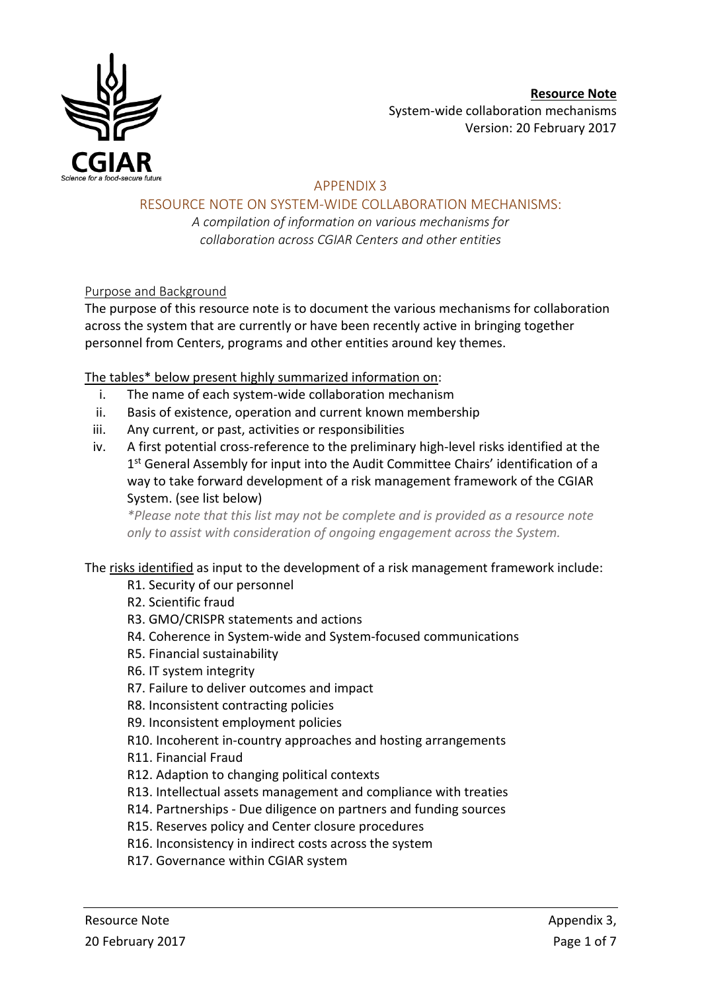

### APPENDIX 3

RESOURCE NOTE ON SYSTEM-WIDE COLLABORATION MECHANISMS:

*A compilation of information on various mechanisms for collaboration across CGIAR Centers and other entities*

### Purpose and Background

The purpose of this resource note is to document the various mechanisms for collaboration across the system that are currently or have been recently active in bringing together personnel from Centers, programs and other entities around key themes.

### The tables\* below present highly summarized information on:

- i. The name of each system-wide collaboration mechanism
- ii. Basis of existence, operation and current known membership
- iii. Any current, or past, activities or responsibilities
- iv. A first potential cross-reference to the preliminary high-level risks identified at the 1<sup>st</sup> General Assembly for input into the Audit Committee Chairs' identification of a way to take forward development of a risk management framework of the CGIAR System. (see list below)

*\*Please note that this list may not be complete and is provided as a resource note only to assist with consideration of ongoing engagement across the System.*

#### The risks identified as input to the development of a risk management framework include:

- R1. Security of our personnel
- R2. Scientific fraud

#### R3. GMO/CRISPR statements and actions

- R4. Coherence in System-wide and System-focused communications
- R5. Financial sustainability
- R6. IT system integrity
- R7. Failure to deliver outcomes and impact
- R8. Inconsistent contracting policies
- R9. Inconsistent employment policies
- R10. Incoherent in-country approaches and hosting arrangements

R11. Financial Fraud

- R12. Adaption to changing political contexts
- R13. Intellectual assets management and compliance with treaties
- R14. Partnerships Due diligence on partners and funding sources
- R15. Reserves policy and Center closure procedures
- R16. Inconsistency in indirect costs across the system
- R17. Governance within CGIAR system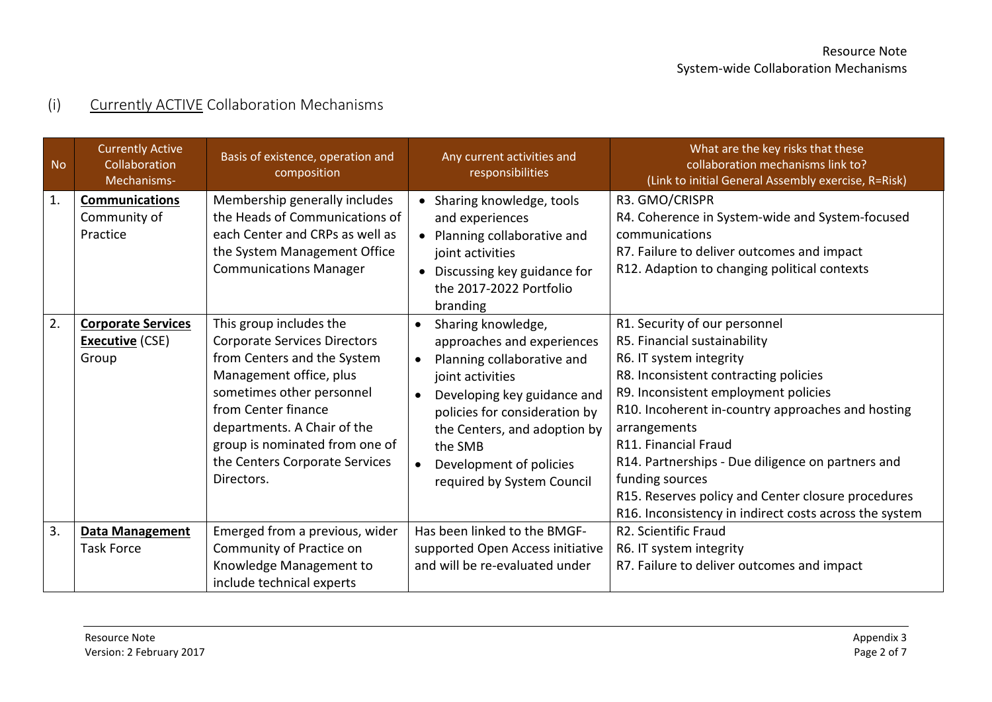# (i) Currently ACTIVE Collaboration Mechanisms

| <b>No</b>      | <b>Currently Active</b><br>Collaboration<br>Mechanisms-      | Basis of existence, operation and<br>composition                                                                                                                                                                                                                                              | Any current activities and<br>responsibilities                                                                                                                                                                                                                                                                | What are the key risks that these<br>collaboration mechanisms link to?<br>(Link to initial General Assembly exercise, R=Risk)                                                                                                                                                                                                                                                                                                                                  |
|----------------|--------------------------------------------------------------|-----------------------------------------------------------------------------------------------------------------------------------------------------------------------------------------------------------------------------------------------------------------------------------------------|---------------------------------------------------------------------------------------------------------------------------------------------------------------------------------------------------------------------------------------------------------------------------------------------------------------|----------------------------------------------------------------------------------------------------------------------------------------------------------------------------------------------------------------------------------------------------------------------------------------------------------------------------------------------------------------------------------------------------------------------------------------------------------------|
| $\mathbf{1}$ . | <b>Communications</b><br>Community of<br>Practice            | Membership generally includes<br>the Heads of Communications of<br>each Center and CRPs as well as<br>the System Management Office<br><b>Communications Manager</b>                                                                                                                           | • Sharing knowledge, tools<br>and experiences<br>• Planning collaborative and<br>joint activities<br>Discussing key guidance for<br>$\bullet$<br>the 2017-2022 Portfolio<br>branding                                                                                                                          | R3. GMO/CRISPR<br>R4. Coherence in System-wide and System-focused<br>communications<br>R7. Failure to deliver outcomes and impact<br>R12. Adaption to changing political contexts                                                                                                                                                                                                                                                                              |
| 2.             | <b>Corporate Services</b><br><b>Executive</b> (CSE)<br>Group | This group includes the<br><b>Corporate Services Directors</b><br>from Centers and the System<br>Management office, plus<br>sometimes other personnel<br>from Center finance<br>departments. A Chair of the<br>group is nominated from one of<br>the Centers Corporate Services<br>Directors. | Sharing knowledge,<br>$\bullet$<br>approaches and experiences<br>Planning collaborative and<br>$\bullet$<br>joint activities<br>Developing key guidance and<br>$\bullet$<br>policies for consideration by<br>the Centers, and adoption by<br>the SMB<br>Development of policies<br>required by System Council | R1. Security of our personnel<br>R5. Financial sustainability<br>R6. IT system integrity<br>R8. Inconsistent contracting policies<br>R9. Inconsistent employment policies<br>R10. Incoherent in-country approaches and hosting<br>arrangements<br>R11. Financial Fraud<br>R14. Partnerships - Due diligence on partners and<br>funding sources<br>R15. Reserves policy and Center closure procedures<br>R16. Inconsistency in indirect costs across the system |
| 3.             | <b>Data Management</b><br><b>Task Force</b>                  | Emerged from a previous, wider<br>Community of Practice on<br>Knowledge Management to<br>include technical experts                                                                                                                                                                            | Has been linked to the BMGF-<br>supported Open Access initiative<br>and will be re-evaluated under                                                                                                                                                                                                            | R2. Scientific Fraud<br>R6. IT system integrity<br>R7. Failure to deliver outcomes and impact                                                                                                                                                                                                                                                                                                                                                                  |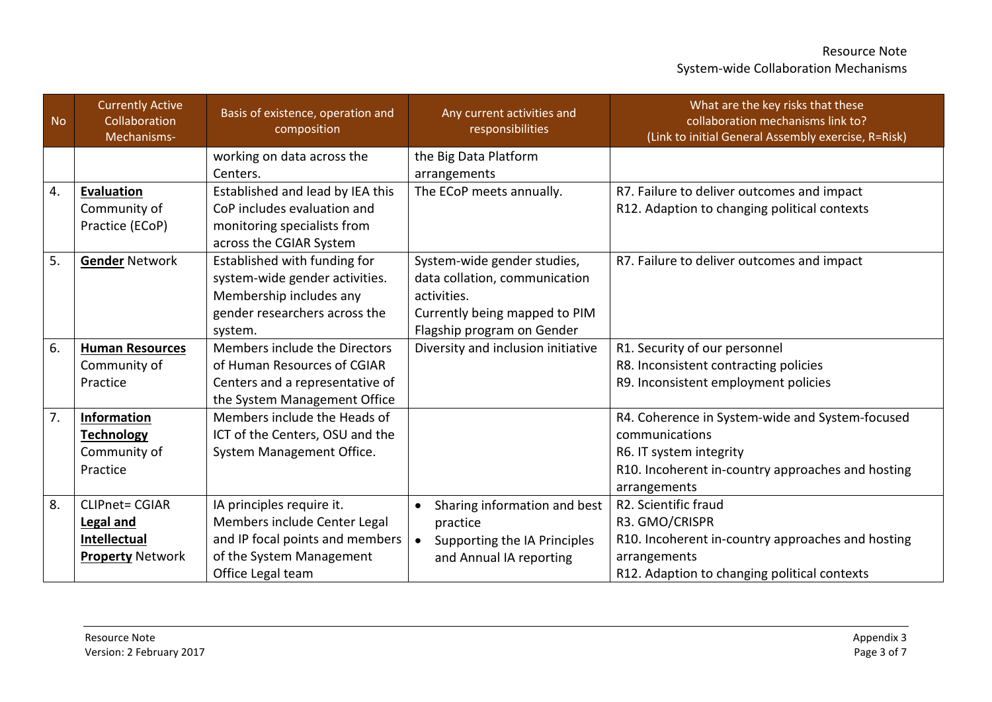| <b>No</b> | <b>Currently Active</b><br>Collaboration<br>Mechanisms- | Basis of existence, operation and<br>composition | Any current activities and<br>responsibilities | What are the key risks that these<br>collaboration mechanisms link to?<br>(Link to initial General Assembly exercise, R=Risk) |
|-----------|---------------------------------------------------------|--------------------------------------------------|------------------------------------------------|-------------------------------------------------------------------------------------------------------------------------------|
|           |                                                         | working on data across the                       | the Big Data Platform                          |                                                                                                                               |
|           |                                                         | Centers.                                         | arrangements                                   |                                                                                                                               |
| 4.        | <b>Evaluation</b>                                       | Established and lead by IEA this                 | The ECoP meets annually.                       | R7. Failure to deliver outcomes and impact                                                                                    |
|           | Community of                                            | CoP includes evaluation and                      |                                                | R12. Adaption to changing political contexts                                                                                  |
|           | Practice (ECoP)                                         | monitoring specialists from                      |                                                |                                                                                                                               |
|           |                                                         | across the CGIAR System                          |                                                |                                                                                                                               |
| 5.        | <b>Gender Network</b>                                   | Established with funding for                     | System-wide gender studies,                    | R7. Failure to deliver outcomes and impact                                                                                    |
|           |                                                         | system-wide gender activities.                   | data collation, communication                  |                                                                                                                               |
|           |                                                         | Membership includes any                          | activities.                                    |                                                                                                                               |
|           |                                                         | gender researchers across the                    | Currently being mapped to PIM                  |                                                                                                                               |
|           |                                                         | system.                                          | Flagship program on Gender                     |                                                                                                                               |
| 6.        | <b>Human Resources</b>                                  | Members include the Directors                    | Diversity and inclusion initiative             | R1. Security of our personnel                                                                                                 |
|           | Community of                                            | of Human Resources of CGIAR                      |                                                | R8. Inconsistent contracting policies                                                                                         |
|           | Practice                                                | Centers and a representative of                  |                                                | R9. Inconsistent employment policies                                                                                          |
|           |                                                         | the System Management Office                     |                                                |                                                                                                                               |
| 7.        | Information                                             | Members include the Heads of                     |                                                | R4. Coherence in System-wide and System-focused                                                                               |
|           | <b>Technology</b>                                       | ICT of the Centers, OSU and the                  |                                                | communications                                                                                                                |
|           | Community of                                            | System Management Office.                        |                                                | R6. IT system integrity                                                                                                       |
|           | Practice                                                |                                                  |                                                | R10. Incoherent in-country approaches and hosting                                                                             |
|           |                                                         |                                                  |                                                | arrangements                                                                                                                  |
| 8.        | <b>CLIPnet= CGIAR</b>                                   | IA principles require it.                        | Sharing information and best<br>$\bullet$      | R2. Scientific fraud                                                                                                          |
|           | <b>Legal and</b>                                        | Members include Center Legal                     | practice                                       | R3. GMO/CRISPR                                                                                                                |
|           | <b>Intellectual</b>                                     | and IP focal points and members                  | Supporting the IA Principles<br>$\bullet$      | R10. Incoherent in-country approaches and hosting                                                                             |
|           | <b>Property Network</b>                                 | of the System Management                         | and Annual IA reporting                        | arrangements                                                                                                                  |
|           |                                                         | Office Legal team                                |                                                | R12. Adaption to changing political contexts                                                                                  |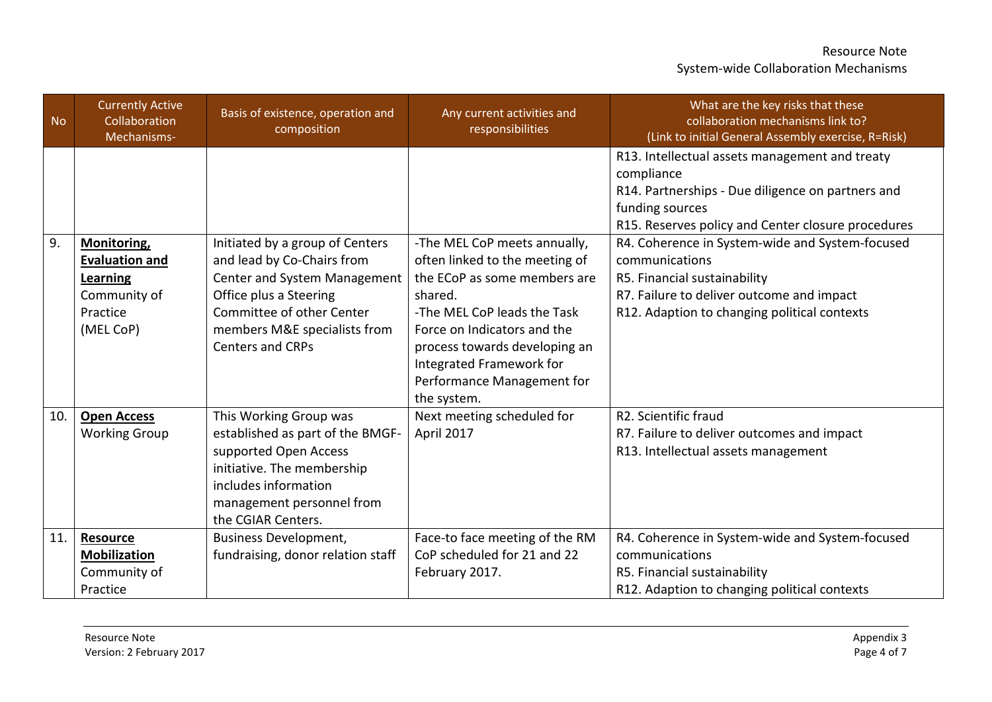| <b>No</b> | <b>Currently Active</b><br>Collaboration<br>Mechanisms-                    | Basis of existence, operation and<br>composition                                                                                                                                             | Any current activities and<br>responsibilities                                                                                                                                                                                                    | What are the key risks that these<br>collaboration mechanisms link to?<br>(Link to initial General Assembly exercise, R=Risk)                                                                                                                 |
|-----------|----------------------------------------------------------------------------|----------------------------------------------------------------------------------------------------------------------------------------------------------------------------------------------|---------------------------------------------------------------------------------------------------------------------------------------------------------------------------------------------------------------------------------------------------|-----------------------------------------------------------------------------------------------------------------------------------------------------------------------------------------------------------------------------------------------|
| 9.        | Monitoring,                                                                | Initiated by a group of Centers                                                                                                                                                              | -The MEL CoP meets annually,                                                                                                                                                                                                                      | R13. Intellectual assets management and treaty<br>compliance<br>R14. Partnerships - Due diligence on partners and<br>funding sources<br>R15. Reserves policy and Center closure procedures<br>R4. Coherence in System-wide and System-focused |
|           | Evaluation and<br><b>Learning</b><br>Community of<br>Practice<br>(MEL CoP) | and lead by Co-Chairs from<br>Center and System Management<br>Office plus a Steering<br>Committee of other Center<br>members M&E specialists from<br><b>Centers and CRPs</b>                 | often linked to the meeting of<br>the ECoP as some members are<br>shared.<br>-The MEL CoP leads the Task<br>Force on Indicators and the<br>process towards developing an<br>Integrated Framework for<br>Performance Management for<br>the system. | communications<br>R5. Financial sustainability<br>R7. Failure to deliver outcome and impact<br>R12. Adaption to changing political contexts                                                                                                   |
| 10.       | <b>Open Access</b><br><b>Working Group</b>                                 | This Working Group was<br>established as part of the BMGF-<br>supported Open Access<br>initiative. The membership<br>includes information<br>management personnel from<br>the CGIAR Centers. | Next meeting scheduled for<br>April 2017                                                                                                                                                                                                          | R2. Scientific fraud<br>R7. Failure to deliver outcomes and impact<br>R13. Intellectual assets management                                                                                                                                     |
| 11.       | <b>Resource</b><br><b>Mobilization</b><br>Community of<br>Practice         | <b>Business Development,</b><br>fundraising, donor relation staff                                                                                                                            | Face-to face meeting of the RM<br>CoP scheduled for 21 and 22<br>February 2017.                                                                                                                                                                   | R4. Coherence in System-wide and System-focused<br>communications<br>R5. Financial sustainability<br>R12. Adaption to changing political contexts                                                                                             |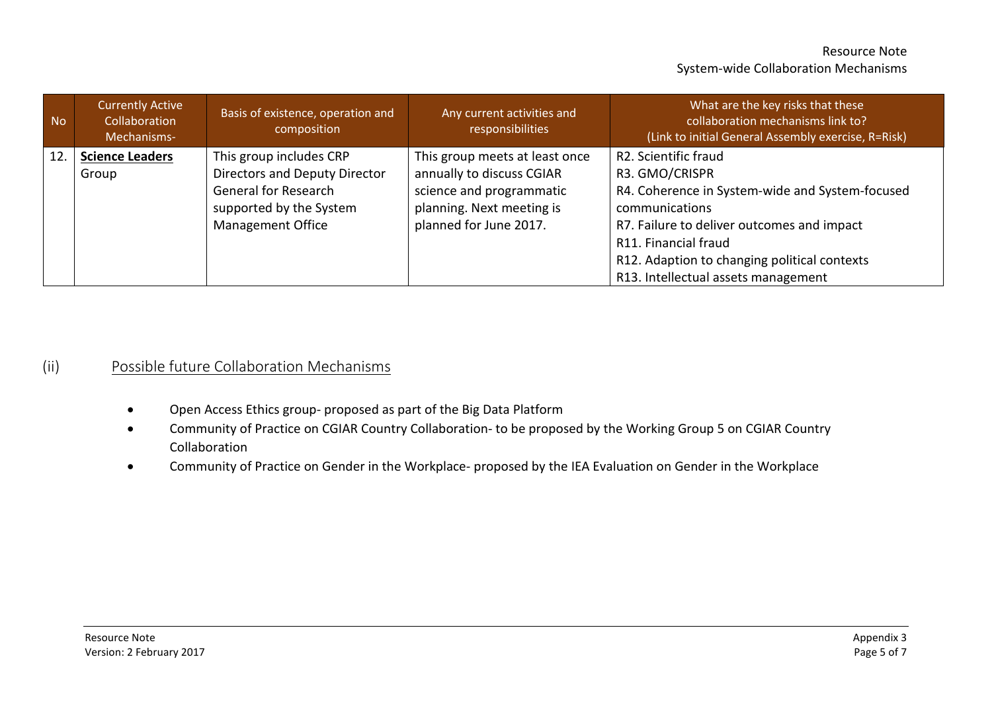| <b>No</b> | <b>Currently Active</b><br>Collaboration<br>Mechanisms- | Basis of existence, operation and<br>composition | Any current activities and<br>responsibilities | What are the key risks that these<br>collaboration mechanisms link to?<br>(Link to initial General Assembly exercise, R=Risk) |
|-----------|---------------------------------------------------------|--------------------------------------------------|------------------------------------------------|-------------------------------------------------------------------------------------------------------------------------------|
| 12.       | <b>Science Leaders</b>                                  | This group includes CRP                          | This group meets at least once                 | R2. Scientific fraud                                                                                                          |
|           | Group                                                   | Directors and Deputy Director                    | annually to discuss CGIAR                      | R3. GMO/CRISPR                                                                                                                |
|           |                                                         | <b>General for Research</b>                      | science and programmatic                       | R4. Coherence in System-wide and System-focused                                                                               |
|           |                                                         | supported by the System                          | planning. Next meeting is                      | communications                                                                                                                |
|           |                                                         | <b>Management Office</b>                         | planned for June 2017.                         | R7. Failure to deliver outcomes and impact                                                                                    |
|           |                                                         |                                                  |                                                | R11. Financial fraud                                                                                                          |
|           |                                                         |                                                  |                                                | R12. Adaption to changing political contexts                                                                                  |
|           |                                                         |                                                  |                                                | R13. Intellectual assets management                                                                                           |

## (ii) Possible future Collaboration Mechanisms

- Open Access Ethics group- proposed as part of the Big Data Platform
- Community of Practice on CGIAR Country Collaboration- to be proposed by the Working Group 5 on CGIAR Country Collaboration
- Community of Practice on Gender in the Workplace- proposed by the IEA Evaluation on Gender in the Workplace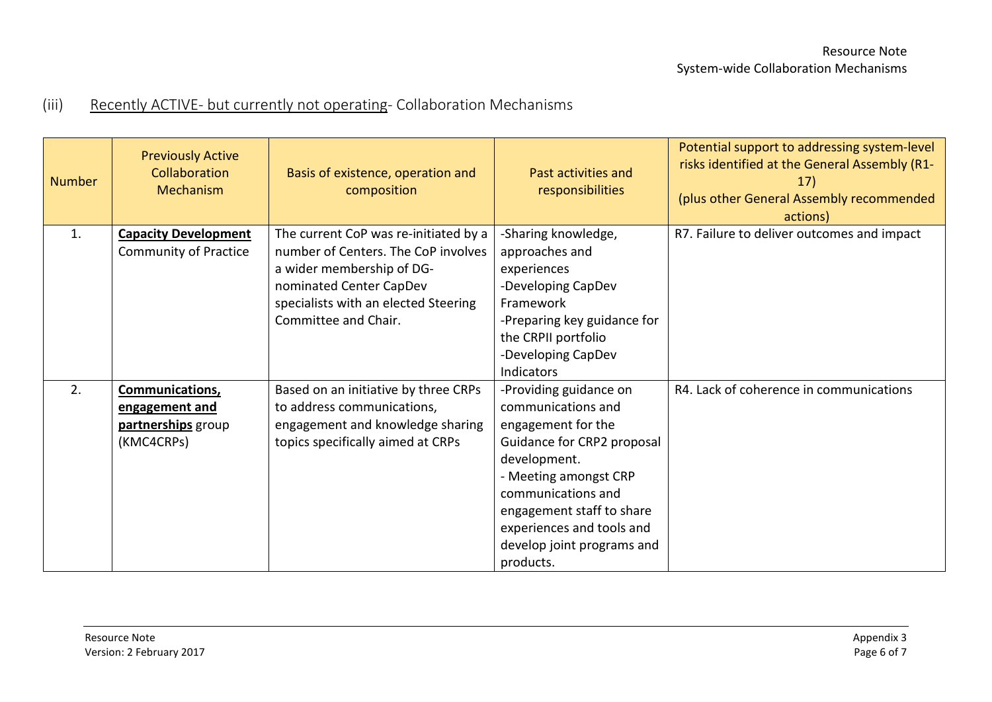# (iii) Recently ACTIVE- but currently not operating- Collaboration Mechanisms

| <b>Number</b> | <b>Previously Active</b><br>Collaboration<br>Mechanism                | Basis of existence, operation and<br>composition                                                                                                                                                     | Past activities and<br>responsibilities                                                                                                                                                                                                                              | Potential support to addressing system-level<br>risks identified at the General Assembly (R1-<br>17)<br>(plus other General Assembly recommended<br>actions) |
|---------------|-----------------------------------------------------------------------|------------------------------------------------------------------------------------------------------------------------------------------------------------------------------------------------------|----------------------------------------------------------------------------------------------------------------------------------------------------------------------------------------------------------------------------------------------------------------------|--------------------------------------------------------------------------------------------------------------------------------------------------------------|
| 1.            | <b>Capacity Development</b><br><b>Community of Practice</b>           | The current CoP was re-initiated by a<br>number of Centers. The CoP involves<br>a wider membership of DG-<br>nominated Center CapDev<br>specialists with an elected Steering<br>Committee and Chair. | -Sharing knowledge,<br>approaches and<br>experiences<br>-Developing CapDev<br>Framework<br>-Preparing key guidance for<br>the CRPII portfolio<br>-Developing CapDev<br>Indicators                                                                                    | R7. Failure to deliver outcomes and impact                                                                                                                   |
| 2.            | Communications,<br>engagement and<br>partnerships group<br>(KMC4CRPs) | Based on an initiative by three CRPs<br>to address communications,<br>engagement and knowledge sharing<br>topics specifically aimed at CRPs                                                          | -Providing guidance on<br>communications and<br>engagement for the<br>Guidance for CRP2 proposal<br>development.<br>- Meeting amongst CRP<br>communications and<br>engagement staff to share<br>experiences and tools and<br>develop joint programs and<br>products. | R4. Lack of coherence in communications                                                                                                                      |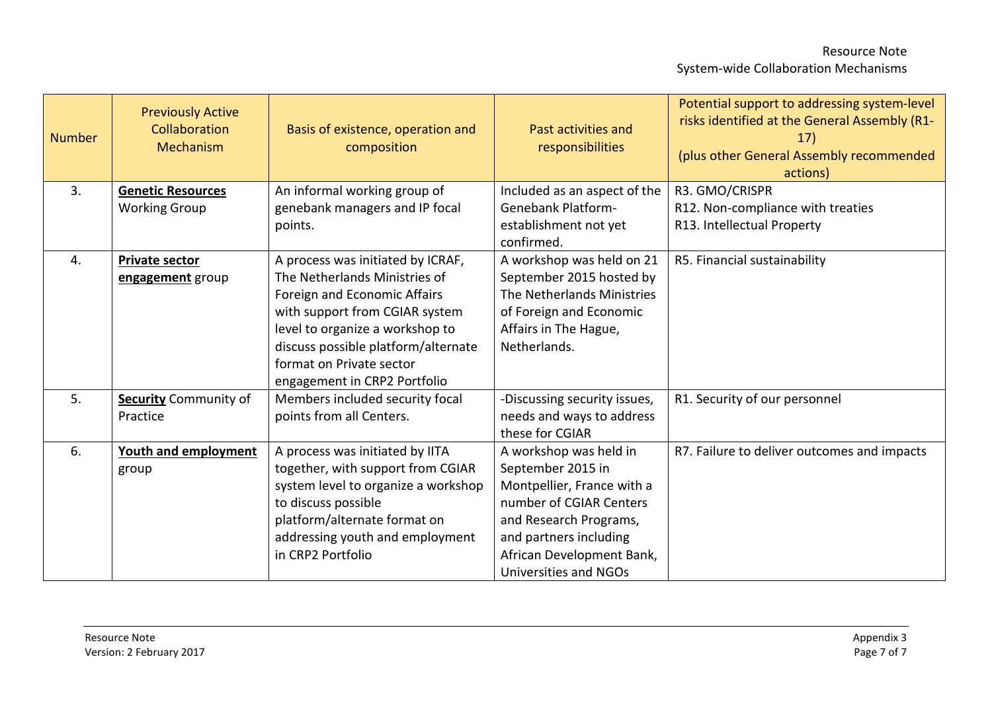| <b>Number</b> | <b>Previously Active</b><br>Collaboration<br>Mechanism | Basis of existence, operation and<br>composition                                                                                                                                                                                                                           | Past activities and<br>responsibilities                                                                                                                                                                        | Potential support to addressing system-level<br>risks identified at the General Assembly (R1-<br>17)<br>(plus other General Assembly recommended<br>actions) |
|---------------|--------------------------------------------------------|----------------------------------------------------------------------------------------------------------------------------------------------------------------------------------------------------------------------------------------------------------------------------|----------------------------------------------------------------------------------------------------------------------------------------------------------------------------------------------------------------|--------------------------------------------------------------------------------------------------------------------------------------------------------------|
| 3.            | <b>Genetic Resources</b>                               | An informal working group of                                                                                                                                                                                                                                               | Included as an aspect of the                                                                                                                                                                                   | R3. GMO/CRISPR                                                                                                                                               |
|               | <b>Working Group</b>                                   | genebank managers and IP focal<br>points.                                                                                                                                                                                                                                  | <b>Genebank Platform-</b><br>establishment not yet<br>confirmed.                                                                                                                                               | R12. Non-compliance with treaties<br>R13. Intellectual Property                                                                                              |
| 4.            | <b>Private sector</b><br>engagement group              | A process was initiated by ICRAF,<br>The Netherlands Ministries of<br>Foreign and Economic Affairs<br>with support from CGIAR system<br>level to organize a workshop to<br>discuss possible platform/alternate<br>format on Private sector<br>engagement in CRP2 Portfolio | A workshop was held on 21<br>September 2015 hosted by<br>The Netherlands Ministries<br>of Foreign and Economic<br>Affairs in The Hague,<br>Netherlands.                                                        | R5. Financial sustainability                                                                                                                                 |
| 5.            | <b>Security Community of</b><br>Practice               | Members included security focal<br>points from all Centers.                                                                                                                                                                                                                | -Discussing security issues,<br>needs and ways to address<br>these for CGIAR                                                                                                                                   | R1. Security of our personnel                                                                                                                                |
| 6.            | <b>Youth and employment</b><br>group                   | A process was initiated by IITA<br>together, with support from CGIAR<br>system level to organize a workshop<br>to discuss possible<br>platform/alternate format on<br>addressing youth and employment<br>in CRP2 Portfolio                                                 | A workshop was held in<br>September 2015 in<br>Montpellier, France with a<br>number of CGIAR Centers<br>and Research Programs,<br>and partners including<br>African Development Bank,<br>Universities and NGOs | R7. Failure to deliver outcomes and impacts                                                                                                                  |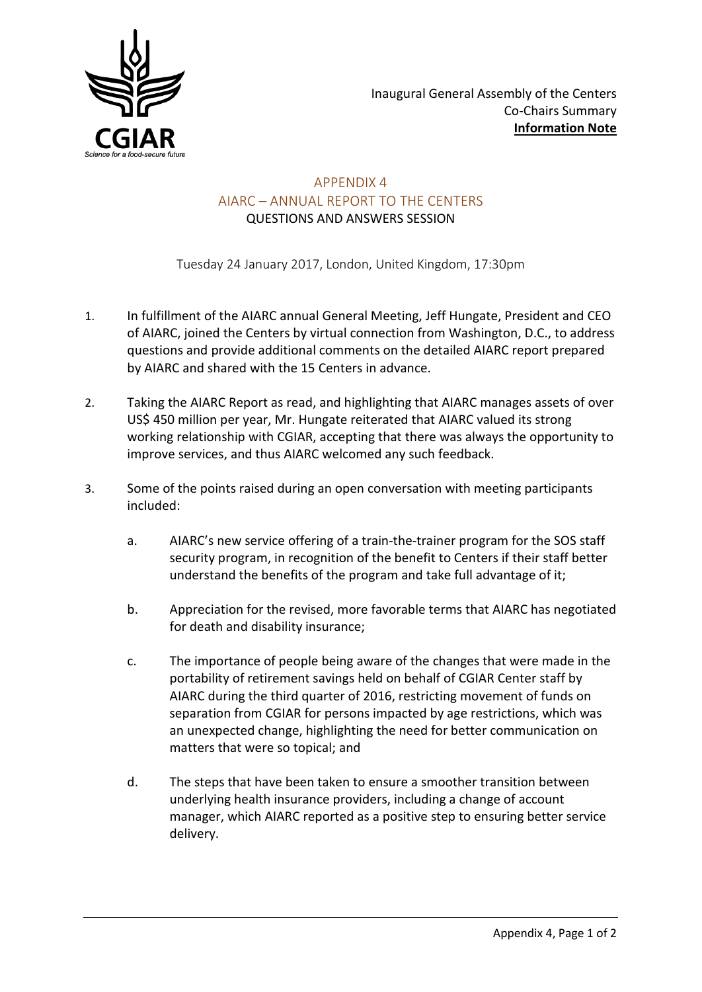

### APPENDIX 4 AIARC – ANNUAL REPORT TO THE CENTERS QUESTIONS AND ANSWERS SESSION

Tuesday 24 January 2017, London, United Kingdom, 17:30pm

- 1. In fulfillment of the AIARC annual General Meeting, Jeff Hungate, President and CEO of AIARC, joined the Centers by virtual connection from Washington, D.C., to address questions and provide additional comments on the detailed AIARC report prepared by AIARC and shared with the 15 Centers in advance.
- 2. Taking the AIARC Report as read, and highlighting that AIARC manages assets of over US\$ 450 million per year, Mr. Hungate reiterated that AIARC valued its strong working relationship with CGIAR, accepting that there was always the opportunity to improve services, and thus AIARC welcomed any such feedback.
- 3. Some of the points raised during an open conversation with meeting participants included:
	- a. AIARC's new service offering of a train-the-trainer program for the SOS staff security program, in recognition of the benefit to Centers if their staff better understand the benefits of the program and take full advantage of it;
	- b. Appreciation for the revised, more favorable terms that AIARC has negotiated for death and disability insurance;
	- c. The importance of people being aware of the changes that were made in the portability of retirement savings held on behalf of CGIAR Center staff by AIARC during the third quarter of 2016, restricting movement of funds on separation from CGIAR for persons impacted by age restrictions, which was an unexpected change, highlighting the need for better communication on matters that were so topical; and
	- d. The steps that have been taken to ensure a smoother transition between underlying health insurance providers, including a change of account manager, which AIARC reported as a positive step to ensuring better service delivery.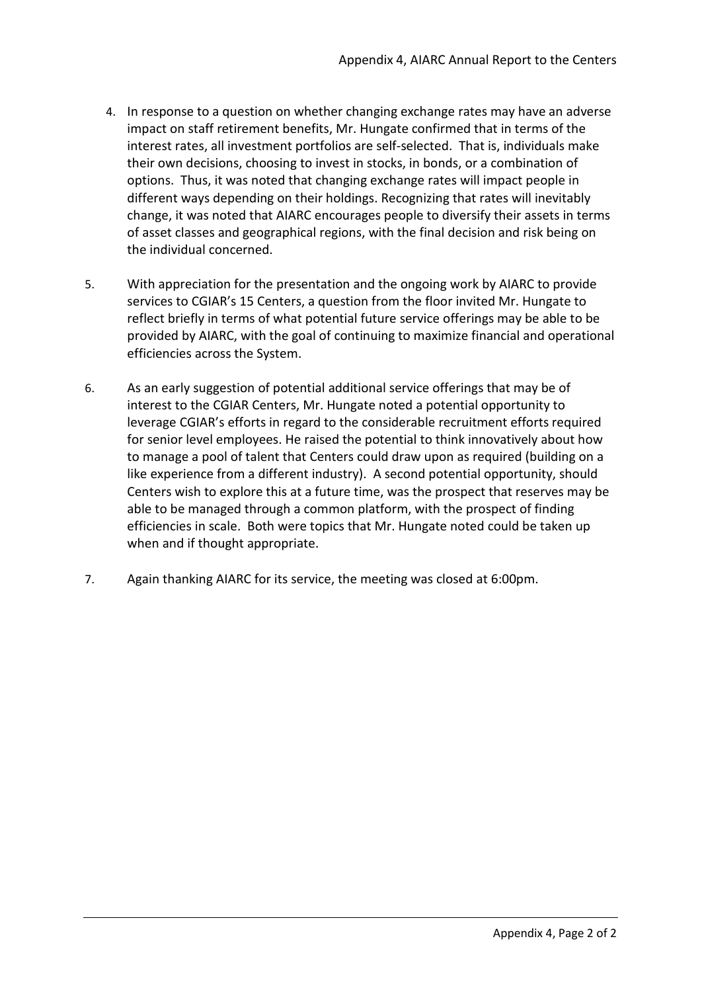- 4. In response to a question on whether changing exchange rates may have an adverse impact on staff retirement benefits, Mr. Hungate confirmed that in terms of the interest rates, all investment portfolios are self-selected. That is, individuals make their own decisions, choosing to invest in stocks, in bonds, or a combination of options. Thus, it was noted that changing exchange rates will impact people in different ways depending on their holdings. Recognizing that rates will inevitably change, it was noted that AIARC encourages people to diversify their assets in terms of asset classes and geographical regions, with the final decision and risk being on the individual concerned.
- 5. With appreciation for the presentation and the ongoing work by AIARC to provide services to CGIAR's 15 Centers, a question from the floor invited Mr. Hungate to reflect briefly in terms of what potential future service offerings may be able to be provided by AIARC, with the goal of continuing to maximize financial and operational efficiencies across the System.
- 6. As an early suggestion of potential additional service offerings that may be of interest to the CGIAR Centers, Mr. Hungate noted a potential opportunity to leverage CGIAR's efforts in regard to the considerable recruitment efforts required for senior level employees. He raised the potential to think innovatively about how to manage a pool of talent that Centers could draw upon as required (building on a like experience from a different industry). A second potential opportunity, should Centers wish to explore this at a future time, was the prospect that reserves may be able to be managed through a common platform, with the prospect of finding efficiencies in scale. Both were topics that Mr. Hungate noted could be taken up when and if thought appropriate.
- 7. Again thanking AIARC for its service, the meeting was closed at 6:00pm.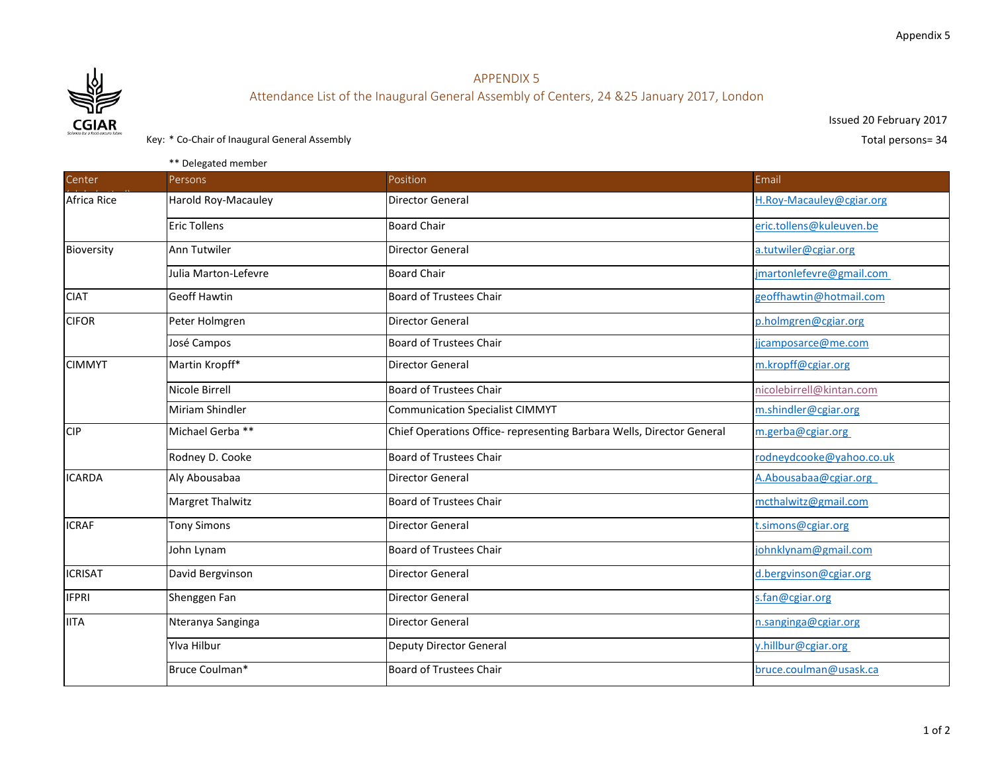

## APPENDIX 5 Attendance List of the Inaugural General Assembly of Centers, 24 &25 January 2017, London

Issued 20 February 2017

Key: \* Co-Chair of Inaugural General Assembly **Exercise 24** and the set of the set of the Second Total persons = 34

\*\* Delegated member

| Center         | <b>Persons</b>       | Position                                                              | Email                    |
|----------------|----------------------|-----------------------------------------------------------------------|--------------------------|
| Africa Rice    | Harold Roy-Macauley  | Director General                                                      | H.Roy-Macauley@cgiar.org |
|                | <b>Eric Tollens</b>  | <b>Board Chair</b>                                                    | eric.tollens@kuleuven.be |
| Bioversity     | Ann Tutwiler         | Director General                                                      | a.tutwiler@cgiar.org     |
|                | Julia Marton-Lefevre | <b>Board Chair</b>                                                    | jmartonlefevre@gmail.com |
| <b>CIAT</b>    | <b>Geoff Hawtin</b>  | <b>Board of Trustees Chair</b>                                        | geoffhawtin@hotmail.com  |
| <b>CIFOR</b>   | Peter Holmgren       | <b>Director General</b>                                               | p.holmgren@cgiar.org     |
|                | José Campos          | <b>Board of Trustees Chair</b>                                        | jicamposarce@me.com      |
| <b>CIMMYT</b>  | Martin Kropff*       | <b>Director General</b>                                               | m.kropff@cgiar.org       |
|                | Nicole Birrell       | <b>Board of Trustees Chair</b>                                        | nicolebirrell@kintan.com |
|                | Miriam Shindler      | <b>Communication Specialist CIMMYT</b>                                | m.shindler@cgiar.org     |
| CIP            | Michael Gerba **     | Chief Operations Office- representing Barbara Wells, Director General | m.gerba@cgiar.org        |
|                | Rodney D. Cooke      | <b>Board of Trustees Chair</b>                                        | rodneydcooke@yahoo.co.uk |
| <b>ICARDA</b>  | Aly Abousabaa        | <b>Director General</b>                                               | A. Abousabaa@cgiar.org   |
|                | Margret Thalwitz     | <b>Board of Trustees Chair</b>                                        | mcthalwitz@gmail.com     |
| <b>ICRAF</b>   | <b>Tony Simons</b>   | <b>Director General</b>                                               | t.simons@cgiar.org       |
|                | John Lynam           | <b>Board of Trustees Chair</b>                                        | johnklynam@gmail.com     |
| <b>ICRISAT</b> | David Bergvinson     | <b>Director General</b>                                               | d.bergvinson@cgiar.org   |
| <b>IFPRI</b>   | Shenggen Fan         | <b>Director General</b>                                               | s.fan@cgiar.org          |
| <b>IITA</b>    | Nteranya Sanginga    | <b>Director General</b>                                               | n.sanginga@cgiar.org     |
|                | <b>Ylva Hilbur</b>   | <b>Deputy Director General</b>                                        | y.hillbur@cgiar.org      |
|                | Bruce Coulman*       | <b>Board of Trustees Chair</b>                                        | bruce.coulman@usask.ca   |